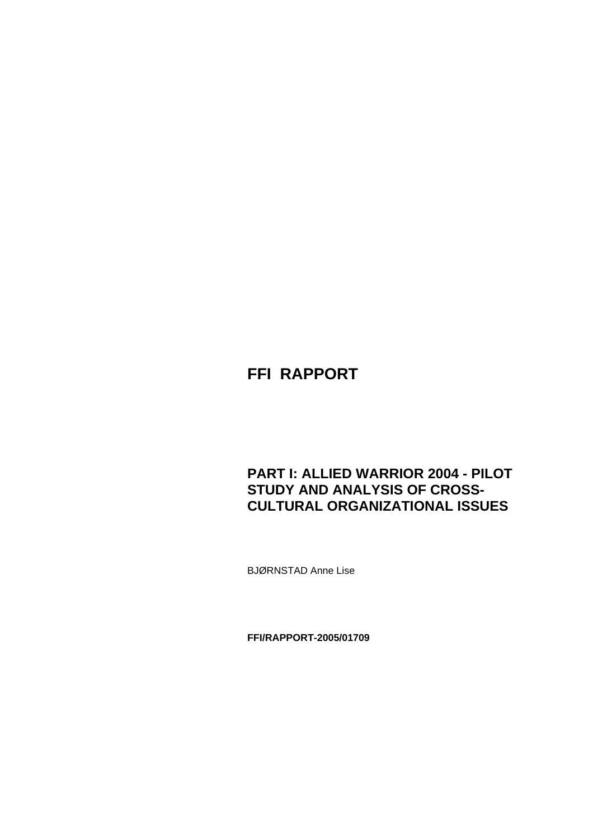# **FFI RAPPORT**

# **PART I: ALLIED WARRIOR 2004 - PILOT STUDY AND ANALYSIS OF CROSS-CULTURAL ORGANIZATIONAL ISSUES**

BJØRNSTAD Anne Lise

**FFI/RAPPORT-2005/01709**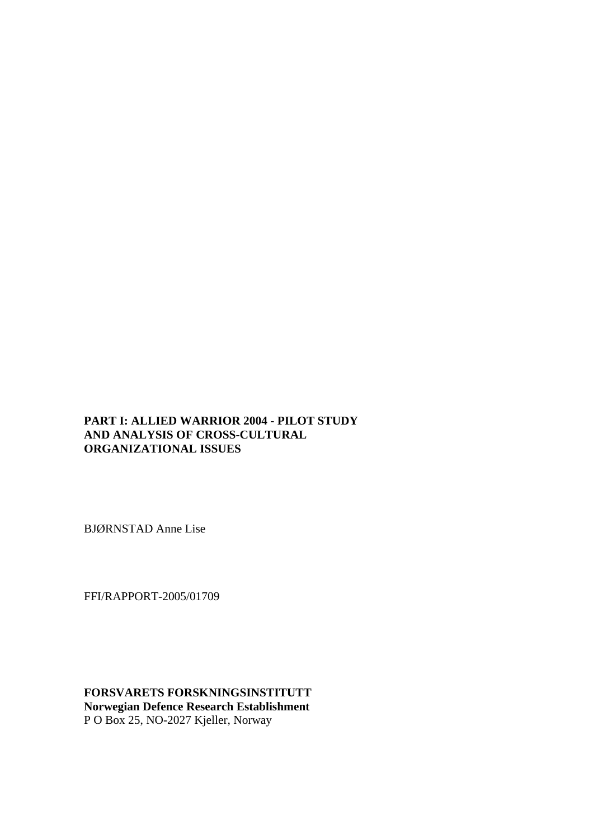### **PART I: ALLIED WARRIOR 2004 - PILOT STUDY AND ANALYSIS OF CROSS-CULTURAL ORGANIZATIONAL ISSUES**

BJØRNSTAD Anne Lise

FFI/RAPPORT-2005/01709

**FORSVARETS FORSKNINGSINSTITUTT Norwegian Defence Research Establishment**  P O Box 25, NO-2027 Kjeller, Norway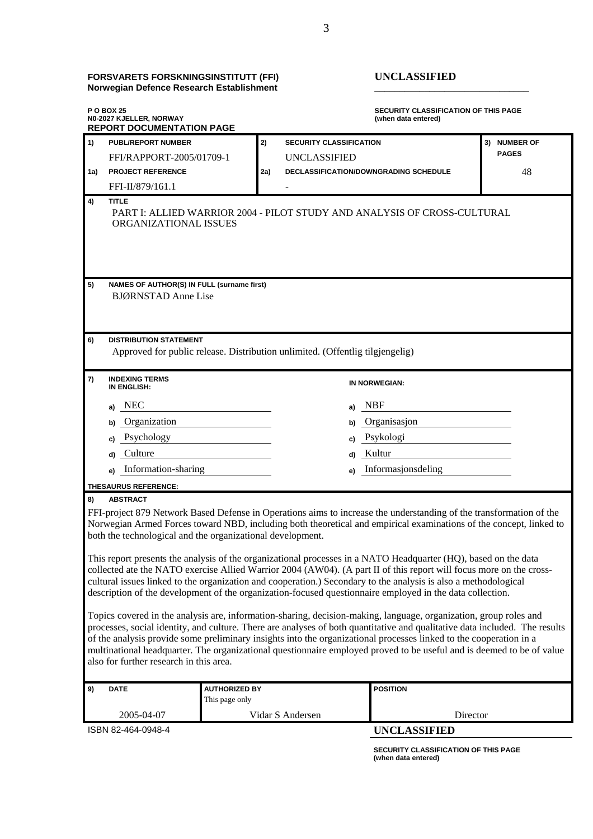#### **FORSVARETS FORSKNINGSINSTITUTT (FFI) UNCLASSIFIED Norwegian Defence Research Establishment \_\_\_\_\_\_\_\_\_\_\_\_\_\_\_\_\_\_\_\_\_\_\_\_\_\_\_\_\_\_\_**

| <b>PUBL/REPORT NUMBER</b><br>2)<br><b>SECURITY CLASSIFICATION</b><br>3) NUMBER OF<br><b>PAGES</b><br>FFI/RAPPORT-2005/01709-1<br><b>UNCLASSIFIED</b><br><b>PROJECT REFERENCE</b><br>DECLASSIFICATION/DOWNGRADING SCHEDULE<br>48<br>2a)<br>1a)<br>FFI-II/879/161.1<br><b>TITLE</b><br>4)<br>PART I: ALLIED WARRIOR 2004 - PILOT STUDY AND ANALYSIS OF CROSS-CULTURAL<br>ORGANIZATIONAL ISSUES<br>NAMES OF AUTHOR(S) IN FULL (surname first)<br>5)<br><b>BJØRNSTAD Anne Lise</b><br>6)<br><b>DISTRIBUTION STATEMENT</b><br>Approved for public release. Distribution unlimited. (Offentlig tilgjengelig)<br><b>INDEXING TERMS</b><br>7)<br>IN NORWEGIAN:<br>IN ENGLISH:<br>a) NEC<br>NBF<br>a)<br>Organization<br>Organisasjon<br>b)<br>Psychology<br>c) Psykologi<br>c)<br>Kultur<br>Culture<br>d)<br>d)<br>Information-sharing<br>Informasjonsdeling<br>e)<br>e)<br>THESAURUS REFERENCE:<br><b>ABSTRACT</b><br>8)<br>FFI-project 879 Network Based Defense in Operations aims to increase the understanding of the transformation of the<br>Norwegian Armed Forces toward NBD, including both theoretical and empirical examinations of the concept, linked to<br>both the technological and the organizational development.<br>This report presents the analysis of the organizational processes in a NATO Headquarter (HQ), based on the data<br>collected ate the NATO exercise Allied Warrior 2004 (AW04). (A part II of this report will focus more on the cross-<br>cultural issues linked to the organization and cooperation.) Secondary to the analysis is also a methodological<br>description of the development of the organization-focused questionnaire employed in the data collection.<br>Topics covered in the analysis are, information-sharing, decision-making, language, organization, group roles and<br>processes, social identity, and culture. There are analyses of both quantitative and qualitative data included. The results<br>of the analysis provide some preliminary insights into the organizational processes linked to the cooperation in a<br>multinational headquarter. The organizational questionnaire employed proved to be useful and is deemed to be of value<br>also for further research in this area.<br><b>AUTHORIZED BY</b><br><b>POSITION</b><br>9)<br><b>DATE</b><br>This page only<br>2005-04-07<br>Vidar S Andersen<br>Director | <b>PO BOX 25</b><br><b>SECURITY CLASSIFICATION OF THIS PAGE</b><br>N0-2027 KJELLER, NORWAY<br>(when data entered)<br><b>REPORT DOCUMENTATION PAGE</b> |  |  |  |  |
|--------------------------------------------------------------------------------------------------------------------------------------------------------------------------------------------------------------------------------------------------------------------------------------------------------------------------------------------------------------------------------------------------------------------------------------------------------------------------------------------------------------------------------------------------------------------------------------------------------------------------------------------------------------------------------------------------------------------------------------------------------------------------------------------------------------------------------------------------------------------------------------------------------------------------------------------------------------------------------------------------------------------------------------------------------------------------------------------------------------------------------------------------------------------------------------------------------------------------------------------------------------------------------------------------------------------------------------------------------------------------------------------------------------------------------------------------------------------------------------------------------------------------------------------------------------------------------------------------------------------------------------------------------------------------------------------------------------------------------------------------------------------------------------------------------------------------------------------------------------------------------------------------------------------------------------------------------------------------------------------------------------------------------------------------------------------------------------------------------------------------------------------------------------------------------------------------------------------------------------------------------------------------------------------------------------------------------------------------------------------------------------|-------------------------------------------------------------------------------------------------------------------------------------------------------|--|--|--|--|
|                                                                                                                                                                                                                                                                                                                                                                                                                                                                                                                                                                                                                                                                                                                                                                                                                                                                                                                                                                                                                                                                                                                                                                                                                                                                                                                                                                                                                                                                                                                                                                                                                                                                                                                                                                                                                                                                                                                                                                                                                                                                                                                                                                                                                                                                                                                                                                                      | $\Gamma_{1}$                                                                                                                                          |  |  |  |  |
|                                                                                                                                                                                                                                                                                                                                                                                                                                                                                                                                                                                                                                                                                                                                                                                                                                                                                                                                                                                                                                                                                                                                                                                                                                                                                                                                                                                                                                                                                                                                                                                                                                                                                                                                                                                                                                                                                                                                                                                                                                                                                                                                                                                                                                                                                                                                                                                      |                                                                                                                                                       |  |  |  |  |
|                                                                                                                                                                                                                                                                                                                                                                                                                                                                                                                                                                                                                                                                                                                                                                                                                                                                                                                                                                                                                                                                                                                                                                                                                                                                                                                                                                                                                                                                                                                                                                                                                                                                                                                                                                                                                                                                                                                                                                                                                                                                                                                                                                                                                                                                                                                                                                                      |                                                                                                                                                       |  |  |  |  |
|                                                                                                                                                                                                                                                                                                                                                                                                                                                                                                                                                                                                                                                                                                                                                                                                                                                                                                                                                                                                                                                                                                                                                                                                                                                                                                                                                                                                                                                                                                                                                                                                                                                                                                                                                                                                                                                                                                                                                                                                                                                                                                                                                                                                                                                                                                                                                                                      |                                                                                                                                                       |  |  |  |  |
|                                                                                                                                                                                                                                                                                                                                                                                                                                                                                                                                                                                                                                                                                                                                                                                                                                                                                                                                                                                                                                                                                                                                                                                                                                                                                                                                                                                                                                                                                                                                                                                                                                                                                                                                                                                                                                                                                                                                                                                                                                                                                                                                                                                                                                                                                                                                                                                      |                                                                                                                                                       |  |  |  |  |
|                                                                                                                                                                                                                                                                                                                                                                                                                                                                                                                                                                                                                                                                                                                                                                                                                                                                                                                                                                                                                                                                                                                                                                                                                                                                                                                                                                                                                                                                                                                                                                                                                                                                                                                                                                                                                                                                                                                                                                                                                                                                                                                                                                                                                                                                                                                                                                                      |                                                                                                                                                       |  |  |  |  |
|                                                                                                                                                                                                                                                                                                                                                                                                                                                                                                                                                                                                                                                                                                                                                                                                                                                                                                                                                                                                                                                                                                                                                                                                                                                                                                                                                                                                                                                                                                                                                                                                                                                                                                                                                                                                                                                                                                                                                                                                                                                                                                                                                                                                                                                                                                                                                                                      |                                                                                                                                                       |  |  |  |  |
|                                                                                                                                                                                                                                                                                                                                                                                                                                                                                                                                                                                                                                                                                                                                                                                                                                                                                                                                                                                                                                                                                                                                                                                                                                                                                                                                                                                                                                                                                                                                                                                                                                                                                                                                                                                                                                                                                                                                                                                                                                                                                                                                                                                                                                                                                                                                                                                      |                                                                                                                                                       |  |  |  |  |
|                                                                                                                                                                                                                                                                                                                                                                                                                                                                                                                                                                                                                                                                                                                                                                                                                                                                                                                                                                                                                                                                                                                                                                                                                                                                                                                                                                                                                                                                                                                                                                                                                                                                                                                                                                                                                                                                                                                                                                                                                                                                                                                                                                                                                                                                                                                                                                                      |                                                                                                                                                       |  |  |  |  |
|                                                                                                                                                                                                                                                                                                                                                                                                                                                                                                                                                                                                                                                                                                                                                                                                                                                                                                                                                                                                                                                                                                                                                                                                                                                                                                                                                                                                                                                                                                                                                                                                                                                                                                                                                                                                                                                                                                                                                                                                                                                                                                                                                                                                                                                                                                                                                                                      |                                                                                                                                                       |  |  |  |  |
|                                                                                                                                                                                                                                                                                                                                                                                                                                                                                                                                                                                                                                                                                                                                                                                                                                                                                                                                                                                                                                                                                                                                                                                                                                                                                                                                                                                                                                                                                                                                                                                                                                                                                                                                                                                                                                                                                                                                                                                                                                                                                                                                                                                                                                                                                                                                                                                      |                                                                                                                                                       |  |  |  |  |
|                                                                                                                                                                                                                                                                                                                                                                                                                                                                                                                                                                                                                                                                                                                                                                                                                                                                                                                                                                                                                                                                                                                                                                                                                                                                                                                                                                                                                                                                                                                                                                                                                                                                                                                                                                                                                                                                                                                                                                                                                                                                                                                                                                                                                                                                                                                                                                                      |                                                                                                                                                       |  |  |  |  |
|                                                                                                                                                                                                                                                                                                                                                                                                                                                                                                                                                                                                                                                                                                                                                                                                                                                                                                                                                                                                                                                                                                                                                                                                                                                                                                                                                                                                                                                                                                                                                                                                                                                                                                                                                                                                                                                                                                                                                                                                                                                                                                                                                                                                                                                                                                                                                                                      |                                                                                                                                                       |  |  |  |  |
|                                                                                                                                                                                                                                                                                                                                                                                                                                                                                                                                                                                                                                                                                                                                                                                                                                                                                                                                                                                                                                                                                                                                                                                                                                                                                                                                                                                                                                                                                                                                                                                                                                                                                                                                                                                                                                                                                                                                                                                                                                                                                                                                                                                                                                                                                                                                                                                      |                                                                                                                                                       |  |  |  |  |
|                                                                                                                                                                                                                                                                                                                                                                                                                                                                                                                                                                                                                                                                                                                                                                                                                                                                                                                                                                                                                                                                                                                                                                                                                                                                                                                                                                                                                                                                                                                                                                                                                                                                                                                                                                                                                                                                                                                                                                                                                                                                                                                                                                                                                                                                                                                                                                                      |                                                                                                                                                       |  |  |  |  |
|                                                                                                                                                                                                                                                                                                                                                                                                                                                                                                                                                                                                                                                                                                                                                                                                                                                                                                                                                                                                                                                                                                                                                                                                                                                                                                                                                                                                                                                                                                                                                                                                                                                                                                                                                                                                                                                                                                                                                                                                                                                                                                                                                                                                                                                                                                                                                                                      |                                                                                                                                                       |  |  |  |  |
|                                                                                                                                                                                                                                                                                                                                                                                                                                                                                                                                                                                                                                                                                                                                                                                                                                                                                                                                                                                                                                                                                                                                                                                                                                                                                                                                                                                                                                                                                                                                                                                                                                                                                                                                                                                                                                                                                                                                                                                                                                                                                                                                                                                                                                                                                                                                                                                      |                                                                                                                                                       |  |  |  |  |
|                                                                                                                                                                                                                                                                                                                                                                                                                                                                                                                                                                                                                                                                                                                                                                                                                                                                                                                                                                                                                                                                                                                                                                                                                                                                                                                                                                                                                                                                                                                                                                                                                                                                                                                                                                                                                                                                                                                                                                                                                                                                                                                                                                                                                                                                                                                                                                                      |                                                                                                                                                       |  |  |  |  |
|                                                                                                                                                                                                                                                                                                                                                                                                                                                                                                                                                                                                                                                                                                                                                                                                                                                                                                                                                                                                                                                                                                                                                                                                                                                                                                                                                                                                                                                                                                                                                                                                                                                                                                                                                                                                                                                                                                                                                                                                                                                                                                                                                                                                                                                                                                                                                                                      |                                                                                                                                                       |  |  |  |  |

ISBN 82-464-0948-4 **UNCLASSIFIED** 

**SECURITY CLASSIFICATION OF THIS PAGE (when data entered)**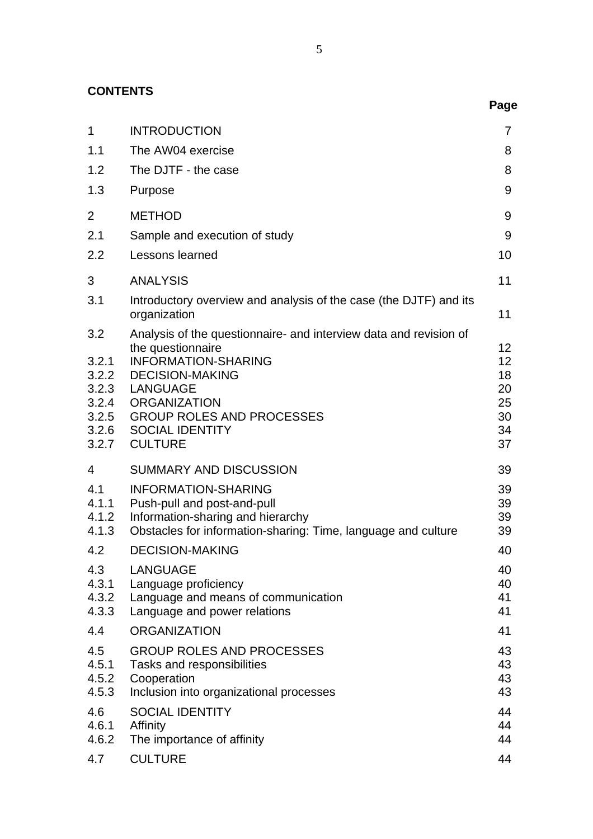**CONTENTS**

|                                                                    |                                                                                                                                                                                                                                                                          | Page                                                      |
|--------------------------------------------------------------------|--------------------------------------------------------------------------------------------------------------------------------------------------------------------------------------------------------------------------------------------------------------------------|-----------------------------------------------------------|
| $\mathbf 1$                                                        | <b>INTRODUCTION</b>                                                                                                                                                                                                                                                      | 7                                                         |
| 1.1                                                                | The AW04 exercise                                                                                                                                                                                                                                                        | 8                                                         |
| 1.2                                                                | The DJTF - the case                                                                                                                                                                                                                                                      | 8                                                         |
| 1.3                                                                | Purpose                                                                                                                                                                                                                                                                  | 9                                                         |
| 2                                                                  | <b>METHOD</b>                                                                                                                                                                                                                                                            | 9                                                         |
| 2.1                                                                | Sample and execution of study                                                                                                                                                                                                                                            | 9                                                         |
| 2.2                                                                | Lessons learned                                                                                                                                                                                                                                                          | 10                                                        |
| 3                                                                  | <b>ANALYSIS</b>                                                                                                                                                                                                                                                          | 11                                                        |
| 3.1                                                                | Introductory overview and analysis of the case (the DJTF) and its<br>organization                                                                                                                                                                                        | 11                                                        |
| 3.2<br>3.2.1<br>3.2.2<br>3.2.3<br>3.2.4<br>3.2.5<br>3.2.6<br>3.2.7 | Analysis of the questionnaire- and interview data and revision of<br>the questionnaire<br><b>INFORMATION-SHARING</b><br><b>DECISION-MAKING</b><br><b>LANGUAGE</b><br><b>ORGANIZATION</b><br><b>GROUP ROLES AND PROCESSES</b><br><b>SOCIAL IDENTITY</b><br><b>CULTURE</b> | 12 <sup>2</sup><br>12<br>18<br>20<br>25<br>30<br>34<br>37 |
| $\overline{4}$                                                     | <b>SUMMARY AND DISCUSSION</b>                                                                                                                                                                                                                                            | 39                                                        |
| 4.1<br>4.1.1<br>4.1.2<br>4.1.3<br>4.2                              | <b>INFORMATION-SHARING</b><br>Push-pull and post-and-pull<br>Information-sharing and hierarchy<br>Obstacles for information-sharing: Time, language and culture<br><b>DECISION-MAKING</b>                                                                                | 39<br>39<br>39<br>39<br>40                                |
| 4.3<br>4.3.1<br>4.3.2<br>4.3.3                                     | <b>LANGUAGE</b><br>Language proficiency<br>Language and means of communication<br>Language and power relations                                                                                                                                                           | 40<br>40<br>41<br>41                                      |
| 4.4                                                                | <b>ORGANIZATION</b>                                                                                                                                                                                                                                                      | 41                                                        |
| 4.5<br>4.5.1<br>4.5.2<br>4.5.3                                     | <b>GROUP ROLES AND PROCESSES</b><br>Tasks and responsibilities<br>Cooperation<br>Inclusion into organizational processes                                                                                                                                                 | 43<br>43<br>43<br>43                                      |
| 4.6<br>4.6.1<br>4.6.2                                              | <b>SOCIAL IDENTITY</b><br>Affinity<br>The importance of affinity                                                                                                                                                                                                         | 44<br>44<br>44                                            |
| 4.7                                                                | <b>CULTURE</b>                                                                                                                                                                                                                                                           | 44                                                        |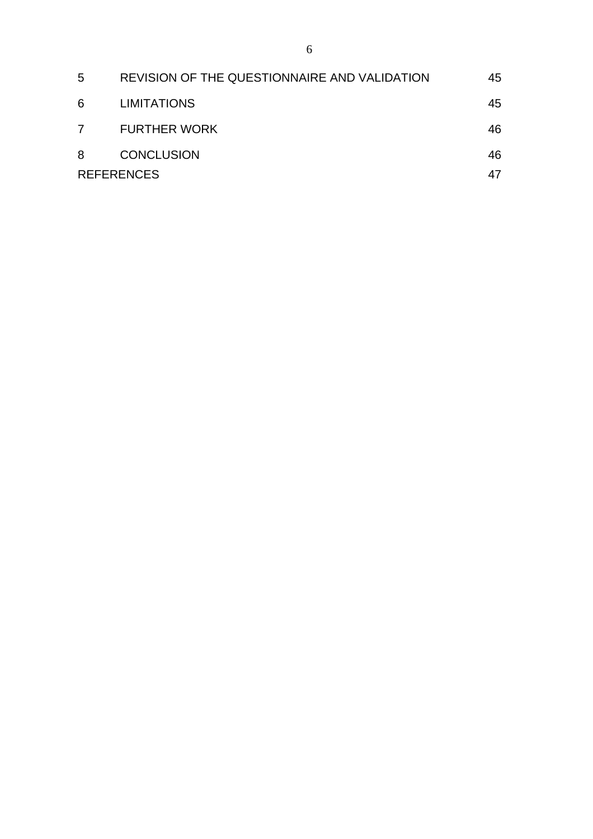| 5  | REVISION OF THE QUESTIONNAIRE AND VALIDATION | 45 |
|----|----------------------------------------------|----|
| -6 | <b>LIMITATIONS</b>                           | 45 |
| 7  | <b>FURTHER WORK</b>                          | 46 |
| -8 | <b>CONCLUSION</b>                            | 46 |
|    | <b>REFERENCES</b>                            | 47 |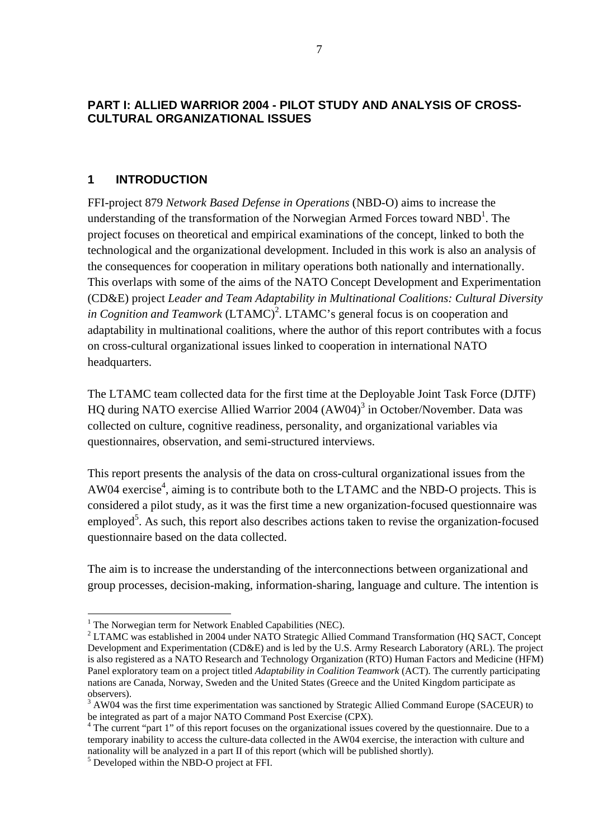# <span id="page-8-0"></span>**PART I: ALLIED WARRIOR 2004 - PILOT STUDY AND ANALYSIS OF CROSS-CULTURAL ORGANIZATIONAL ISSUES**

# **1 INTRODUCTION**

FFI-project 879 *Network Based Defense in Operations* (NBD-O) aims to increase the understanding of the transformation of the Norwegian Armed Forces toward  $NBD<sup>1</sup>$  $NBD<sup>1</sup>$  $NBD<sup>1</sup>$ . The project focuses on theoretical and empirical examinations of the concept, linked to both the technological and the organizational development. Included in this work is also an analysis of the consequences for cooperation in military operations both nationally and internationally. This overlaps with some of the aims of the NATO Concept Development and Experimentation (CD&E) project *Leader and Team Adaptability in Multinational Coalitions: Cultural Diversity*  in Cognition and Teamwork  $(LTAMC)^2$  $(LTAMC)^2$ . LTAMC's general focus is on cooperation and adaptability in multinational coalitions, where the author of this report contributes with a focus on cross-cultural organizational issues linked to cooperation in international NATO headquarters.

The LTAMC team collected data for the first time at the Deployable Joint Task Force (DJTF) HQ during NATO exercise Allied Warrior 2004 (AW04)<sup>[3](#page-8-3)</sup> in October/November. Data was collected on culture, cognitive readiness, personality, and organizational variables via questionnaires, observation, and semi-structured interviews.

This report presents the analysis of the data on cross-cultural organizational issues from the AW04 exercise<sup>4</sup>, aiming is to contribute both to the LTAMC and the NBD-O projects. This is considered a pilot study, as it was the first time a new organization-focused questionnaire was employed<sup>[5](#page-8-5)</sup>. As such, this report also describes actions taken to revise the organization-focused questionnaire based on the data collected.

The aim is to increase the understanding of the interconnections between organizational and group processes, decision-making, information-sharing, language and culture. The intention is

 $\overline{a}$ 

<span id="page-8-1"></span><sup>&</sup>lt;sup>1</sup> The Norwegian term for Network Enabled Capabilities (NEC).

<span id="page-8-2"></span> $2$  LTAMC was established in 2004 under NATO Strategic Allied Command Transformation (HQ SACT, Concept Development and Experimentation (CD&E) and is led by the U.S. Army Research Laboratory (ARL). The project is also registered as a NATO Research and Technology Organization (RTO) Human Factors and Medicine (HFM) Panel exploratory team on a project titled *Adaptability in Coalition Teamwork* (ACT). The currently participating nations are Canada, Norway, Sweden and the United States (Greece and the United Kingdom participate as observers).

<span id="page-8-3"></span><sup>&</sup>lt;sup>3</sup> AW04 was the first time experimentation was sanctioned by Strategic Allied Command Europe (SACEUR) to be integrated as part of a major NATO Command Post Exercise (CPX).

<span id="page-8-4"></span><sup>&</sup>lt;sup>4</sup> The current "part 1" of this report focuses on the organizational issues covered by the questionnaire. Due to a temporary inability to access the culture-data collected in the AW04 exercise, the interaction with culture and nationality will be analyzed in a part II of this report (which will be published shortly). 5

<span id="page-8-5"></span><sup>&</sup>lt;sup>5</sup> Developed within the NBD-O project at FFI.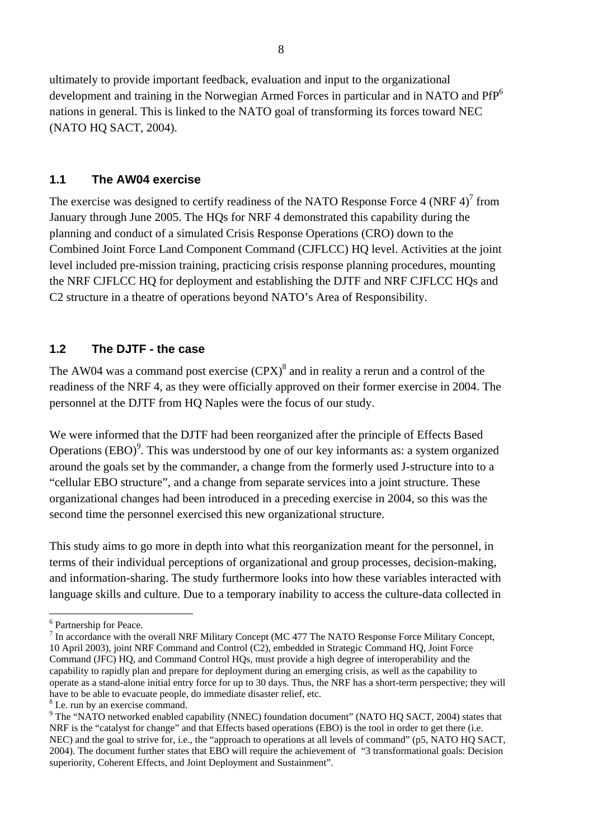<span id="page-9-0"></span>ultimately to provide important feedback, evaluation and input to the organizational development and training in the Norwegian Armed Forces in particular and in NATO and PfP<sup>[6](#page-9-1)</sup> nations in general. This is linked to the NATO goal of transforming its forces toward NEC (NATO HQ SACT, 2004).

### **1.1 The AW04 exercise**

The exercise was designed to certify readiness of the NATO Response Force 4 (NRF 4)<sup>[7](#page-9-2)</sup> from January through June 2005. The HQs for NRF 4 demonstrated this capability during the planning and conduct of a simulated Crisis Response Operations (CRO) down to the Combined Joint Force Land Component Command (CJFLCC) HQ level. Activities at the joint level included pre-mission training, practicing crisis response planning procedures, mounting the NRF CJFLCC HQ for deployment and establishing the DJTF and NRF CJFLCC HQs and C2 structure in a theatre of operations beyond NATO's Area of Responsibility.

# **1.2 The DJTF - the case**

The AW04 was a command post exercise  $(CPX)^8$  $(CPX)^8$  and in reality a rerun and a control of the readiness of the NRF 4, as they were officially approved on their former exercise in 2004. The personnel at the DJTF from HQ Naples were the focus of our study.

We were informed that the DJTF had been reorganized after the principle of Effects Based Operations  $(EBO)^9$  $(EBO)^9$ . This was understood by one of our key informants as: a system organized around the goals set by the commander, a change from the formerly used J-structure into to a "cellular EBO structure", and a change from separate services into a joint structure. These organizational changes had been introduced in a preceding exercise in 2004, so this was the second time the personnel exercised this new organizational structure.

This study aims to go more in depth into what this reorganization meant for the personnel, in terms of their individual perceptions of organizational and group processes, decision-making, and information-sharing. The study furthermore looks into how these variables interacted with language skills and culture. Due to a temporary inability to access the culture-data collected in

 $\overline{a}$  $^6$  Partnership for Peace.

<span id="page-9-2"></span><span id="page-9-1"></span> $\frac{1}{10}$  In accordance with the overall NRF Military Concept (MC 477 The NATO Response Force Military Concept, 10 April 2003), joint NRF Command and Control (C2), embedded in Strategic Command HQ, Joint Force Command (JFC) HQ, and Command Control HQs, must provide a high degree of interoperability and the capability to rapidly plan and prepare for deployment during an emerging crisis, as well as the capability to operate as a stand-alone initial entry force for up to 30 days. Thus, the NRF has a short-term perspective; they will have to be able to evacuate people, do immediate disaster relief, etc.

<span id="page-9-3"></span><sup>&</sup>lt;sup>8</sup> I.e. run by an exercise command.

<span id="page-9-4"></span><sup>&</sup>lt;sup>9</sup> The "NATO networked enabled capability (NNEC) foundation document" (NATO HQ SACT, 2004) states that NRF is the "catalyst for change" and that Effects based operations (EBO) is the tool in order to get there (i.e. NEC) and the goal to strive for, i.e., the "approach to operations at all levels of command" (p5, NATO HQ SACT, 2004). The document further states that EBO will require the achievement of "3 transformational goals: Decision superiority, Coherent Effects, and Joint Deployment and Sustainment".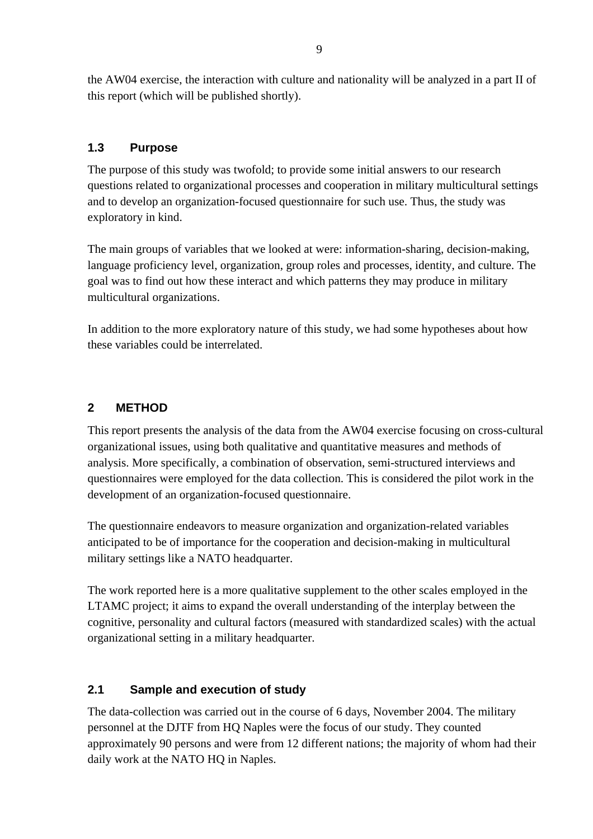<span id="page-10-0"></span>the AW04 exercise, the interaction with culture and nationality will be analyzed in a part II of this report (which will be published shortly).

# **1.3 Purpose**

The purpose of this study was twofold; to provide some initial answers to our research questions related to organizational processes and cooperation in military multicultural settings and to develop an organization-focused questionnaire for such use. Thus, the study was exploratory in kind.

The main groups of variables that we looked at were: information-sharing, decision-making, language proficiency level, organization, group roles and processes, identity, and culture. The goal was to find out how these interact and which patterns they may produce in military multicultural organizations.

In addition to the more exploratory nature of this study, we had some hypotheses about how these variables could be interrelated.

# **2 METHOD**

This report presents the analysis of the data from the AW04 exercise focusing on cross-cultural organizational issues, using both qualitative and quantitative measures and methods of analysis. More specifically, a combination of observation, semi-structured interviews and questionnaires were employed for the data collection. This is considered the pilot work in the development of an organization-focused questionnaire.

The questionnaire endeavors to measure organization and organization-related variables anticipated to be of importance for the cooperation and decision-making in multicultural military settings like a NATO headquarter.

The work reported here is a more qualitative supplement to the other scales employed in the LTAMC project; it aims to expand the overall understanding of the interplay between the cognitive, personality and cultural factors (measured with standardized scales) with the actual organizational setting in a military headquarter.

# **2.1 Sample and execution of study**

The data-collection was carried out in the course of 6 days, November 2004. The military personnel at the DJTF from HQ Naples were the focus of our study. They counted approximately 90 persons and were from 12 different nations; the majority of whom had their daily work at the NATO HO in Naples.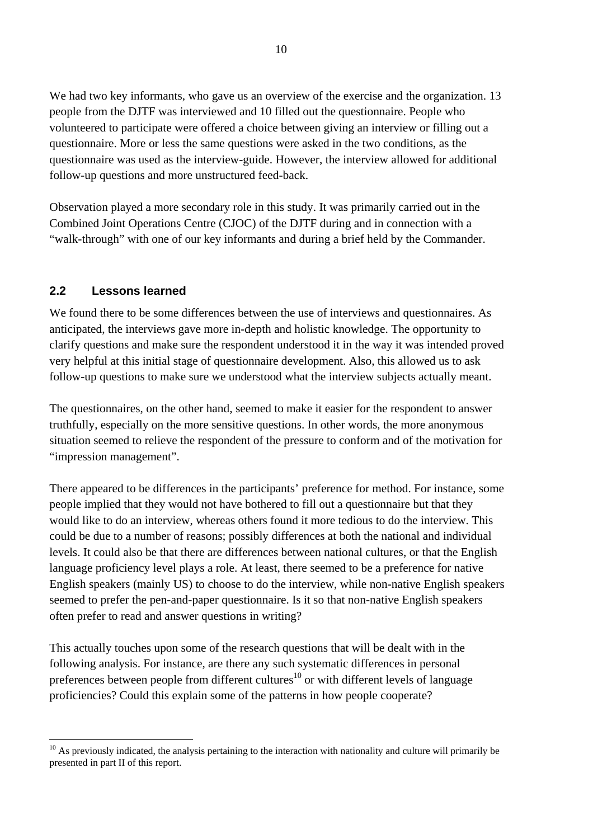<span id="page-11-0"></span>We had two key informants, who gave us an overview of the exercise and the organization. 13 people from the DJTF was interviewed and 10 filled out the questionnaire. People who volunteered to participate were offered a choice between giving an interview or filling out a questionnaire. More or less the same questions were asked in the two conditions, as the questionnaire was used as the interview-guide. However, the interview allowed for additional follow-up questions and more unstructured feed-back.

Observation played a more secondary role in this study. It was primarily carried out in the Combined Joint Operations Centre (CJOC) of the DJTF during and in connection with a "walk-through" with one of our key informants and during a brief held by the Commander.

### **2.2 Lessons learned**

 $\overline{a}$ 

We found there to be some differences between the use of interviews and questionnaires. As anticipated, the interviews gave more in-depth and holistic knowledge. The opportunity to clarify questions and make sure the respondent understood it in the way it was intended proved very helpful at this initial stage of questionnaire development. Also, this allowed us to ask follow-up questions to make sure we understood what the interview subjects actually meant.

The questionnaires, on the other hand, seemed to make it easier for the respondent to answer truthfully, especially on the more sensitive questions. In other words, the more anonymous situation seemed to relieve the respondent of the pressure to conform and of the motivation for "impression management".

There appeared to be differences in the participants' preference for method. For instance, some people implied that they would not have bothered to fill out a questionnaire but that they would like to do an interview, whereas others found it more tedious to do the interview. This could be due to a number of reasons; possibly differences at both the national and individual levels. It could also be that there are differences between national cultures, or that the English language proficiency level plays a role. At least, there seemed to be a preference for native English speakers (mainly US) to choose to do the interview, while non-native English speakers seemed to prefer the pen-and-paper questionnaire. Is it so that non-native English speakers often prefer to read and answer questions in writing?

This actually touches upon some of the research questions that will be dealt with in the following analysis. For instance, are there any such systematic differences in personal preferences between people from different cultures<sup>10</sup> or with different levels of language proficiencies? Could this explain some of the patterns in how people cooperate?

<span id="page-11-1"></span> $10$  As previously indicated, the analysis pertaining to the interaction with nationality and culture will primarily be presented in part II of this report.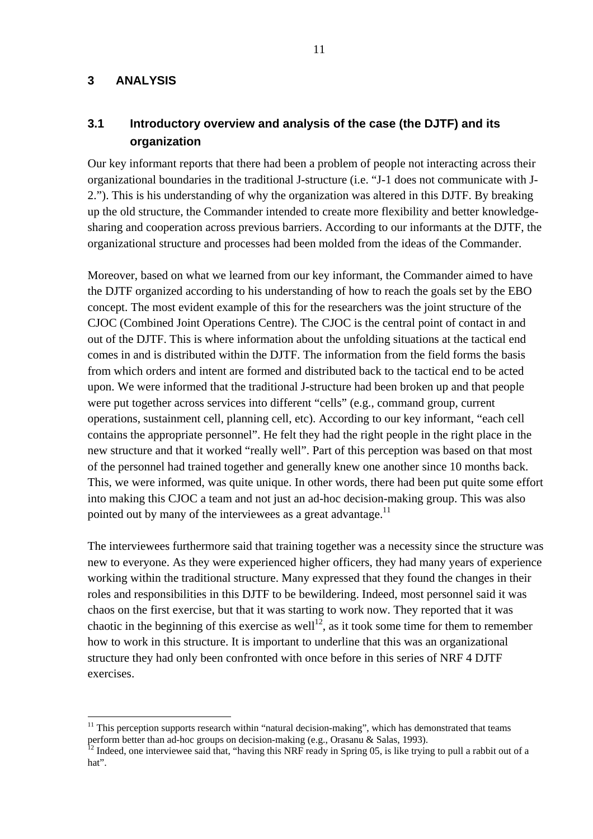#### <span id="page-12-0"></span>**3 ANALYSIS**

 $\overline{a}$ 

# **3.1 Introductory overview and analysis of the case (the DJTF) and its organization**

Our key informant reports that there had been a problem of people not interacting across their organizational boundaries in the traditional J-structure (i.e. "J-1 does not communicate with J-2."). This is his understanding of why the organization was altered in this DJTF. By breaking up the old structure, the Commander intended to create more flexibility and better knowledgesharing and cooperation across previous barriers. According to our informants at the DJTF, the organizational structure and processes had been molded from the ideas of the Commander.

Moreover, based on what we learned from our key informant, the Commander aimed to have the DJTF organized according to his understanding of how to reach the goals set by the EBO concept. The most evident example of this for the researchers was the joint structure of the CJOC (Combined Joint Operations Centre). The CJOC is the central point of contact in and out of the DJTF. This is where information about the unfolding situations at the tactical end comes in and is distributed within the DJTF. The information from the field forms the basis from which orders and intent are formed and distributed back to the tactical end to be acted upon. We were informed that the traditional J-structure had been broken up and that people were put together across services into different "cells" (e.g., command group, current operations, sustainment cell, planning cell, etc). According to our key informant, "each cell contains the appropriate personnel". He felt they had the right people in the right place in the new structure and that it worked "really well". Part of this perception was based on that most of the personnel had trained together and generally knew one another since 10 months back. This, we were informed, was quite unique. In other words, there had been put quite some effort into making this CJOC a team and not just an ad-hoc decision-making group. This was also pointed out by many of the interviewees as a great advantage.<sup>11</sup>

The interviewees furthermore said that training together was a necessity since the structure was new to everyone. As they were experienced higher officers, they had many years of experience working within the traditional structure. Many expressed that they found the changes in their roles and responsibilities in this DJTF to be bewildering. Indeed, most personnel said it was chaos on the first exercise, but that it was starting to work now. They reported that it was chaotic in the beginning of this exercise as well<sup>12</sup>, as it took some time for them to remember how to work in this structure. It is important to underline that this was an organizational structure they had only been confronted with once before in this series of NRF 4 DJTF exercises.

<span id="page-12-1"></span> $11$  This perception supports research within "natural decision-making", which has demonstrated that teams perform better than ad-hoc groups on decision-making (e.g., Orasanu & Salas, 1993).<br><sup>12</sup> Indeed, one interviewee said that, "having this NRF ready in Spring 05, is like trying to pull a rabbit out of a

<span id="page-12-2"></span>hat".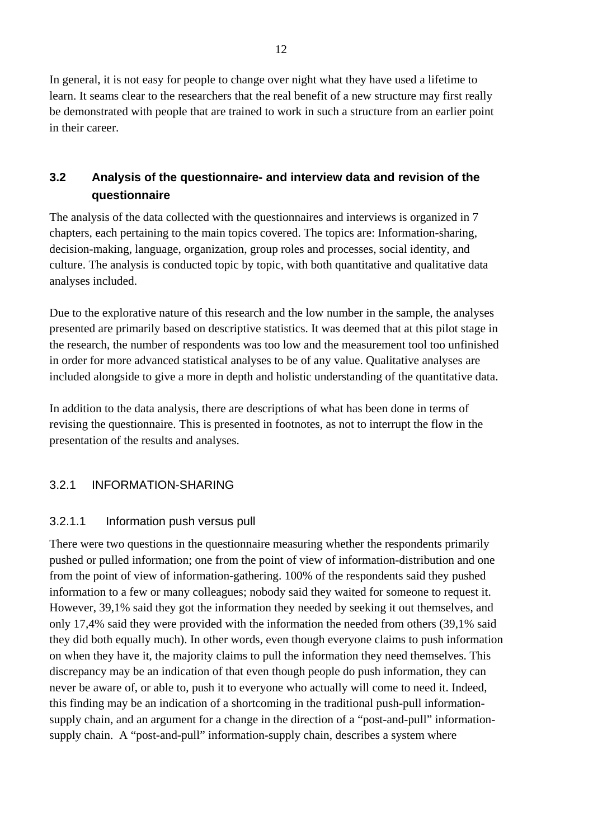<span id="page-13-0"></span>In general, it is not easy for people to change over night what they have used a lifetime to learn. It seams clear to the researchers that the real benefit of a new structure may first really be demonstrated with people that are trained to work in such a structure from an earlier point in their career.

# **3.2 Analysis of the questionnaire- and interview data and revision of the questionnaire**

The analysis of the data collected with the questionnaires and interviews is organized in 7 chapters, each pertaining to the main topics covered. The topics are: Information-sharing, decision-making, language, organization, group roles and processes, social identity, and culture. The analysis is conducted topic by topic, with both quantitative and qualitative data analyses included.

Due to the explorative nature of this research and the low number in the sample, the analyses presented are primarily based on descriptive statistics. It was deemed that at this pilot stage in the research, the number of respondents was too low and the measurement tool too unfinished in order for more advanced statistical analyses to be of any value. Qualitative analyses are included alongside to give a more in depth and holistic understanding of the quantitative data.

In addition to the data analysis, there are descriptions of what has been done in terms of revising the questionnaire. This is presented in footnotes, as not to interrupt the flow in the presentation of the results and analyses.

# 3.2.1 INFORMATION-SHARING

### 3.2.1.1 Information push versus pull

There were two questions in the questionnaire measuring whether the respondents primarily pushed or pulled information; one from the point of view of information-distribution and one from the point of view of information-gathering. 100% of the respondents said they pushed information to a few or many colleagues; nobody said they waited for someone to request it. However, 39,1% said they got the information they needed by seeking it out themselves, and only 17,4% said they were provided with the information the needed from others (39,1% said they did both equally much). In other words, even though everyone claims to push information on when they have it, the majority claims to pull the information they need themselves. This discrepancy may be an indication of that even though people do push information, they can never be aware of, or able to, push it to everyone who actually will come to need it. Indeed, this finding may be an indication of a shortcoming in the traditional push-pull informationsupply chain, and an argument for a change in the direction of a "post-and-pull" informationsupply chain. A "post-and-pull" information-supply chain, describes a system where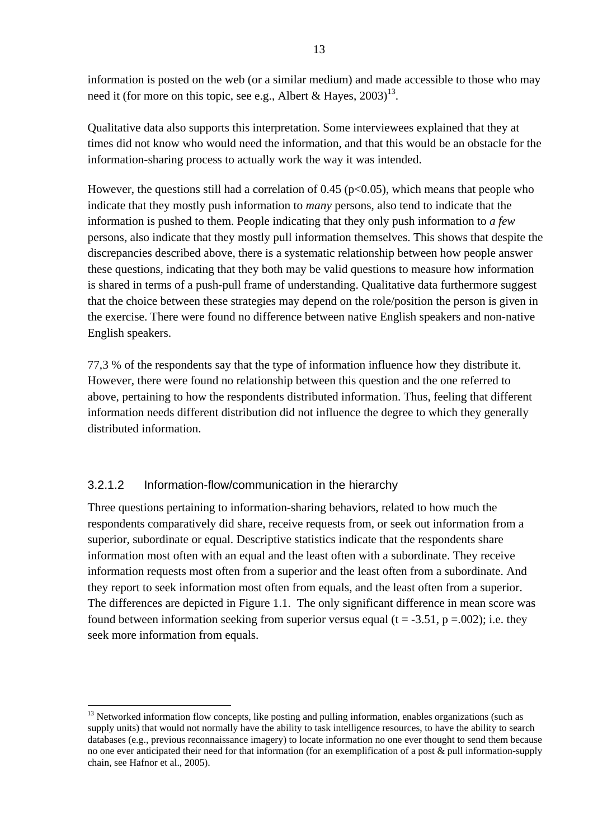information is posted on the web (or a similar medium) and made accessible to those who may need it (for more on this topic, see e.g., Albert & Hayes,  $2003$ )<sup>13</sup>.

Qualitative data also supports this interpretation. Some interviewees explained that they at times did not know who would need the information, and that this would be an obstacle for the information-sharing process to actually work the way it was intended.

However, the questions still had a correlation of  $0.45$  ( $p<0.05$ ), which means that people who indicate that they mostly push information to *many* persons, also tend to indicate that the information is pushed to them. People indicating that they only push information to *a few* persons, also indicate that they mostly pull information themselves. This shows that despite the discrepancies described above, there is a systematic relationship between how people answer these questions, indicating that they both may be valid questions to measure how information is shared in terms of a push-pull frame of understanding. Qualitative data furthermore suggest that the choice between these strategies may depend on the role/position the person is given in the exercise. There were found no difference between native English speakers and non-native English speakers.

77,3 % of the respondents say that the type of information influence how they distribute it. However, there were found no relationship between this question and the one referred to above, pertaining to how the respondents distributed information. Thus, feeling that different information needs different distribution did not influence the degree to which they generally distributed information.

### 3.2.1.2 Information-flow/communication in the hierarchy

 $\overline{a}$ 

Three questions pertaining to information-sharing behaviors, related to how much the respondents comparatively did share, receive requests from, or seek out information from a superior, subordinate or equal. Descriptive statistics indicate that the respondents share information most often with an equal and the least often with a subordinate. They receive information requests most often from a superior and the least often from a subordinate. And they report to seek information most often from equals, and the least often from a superior. The differences are depicted in Figure 1.1. The only significant difference in mean score was found between information seeking from superior versus equal (t = -3.51, p = 0.02); i.e. they seek more information from equals.

<span id="page-14-0"></span><sup>&</sup>lt;sup>13</sup> Networked information flow concepts, like posting and pulling information, enables organizations (such as supply units) that would not normally have the ability to task intelligence resources, to have the ability to search databases (e.g., previous reconnaissance imagery) to locate information no one ever thought to send them because no one ever anticipated their need for that information (for an exemplification of a post & pull information-supply chain, see Hafnor et al., 2005).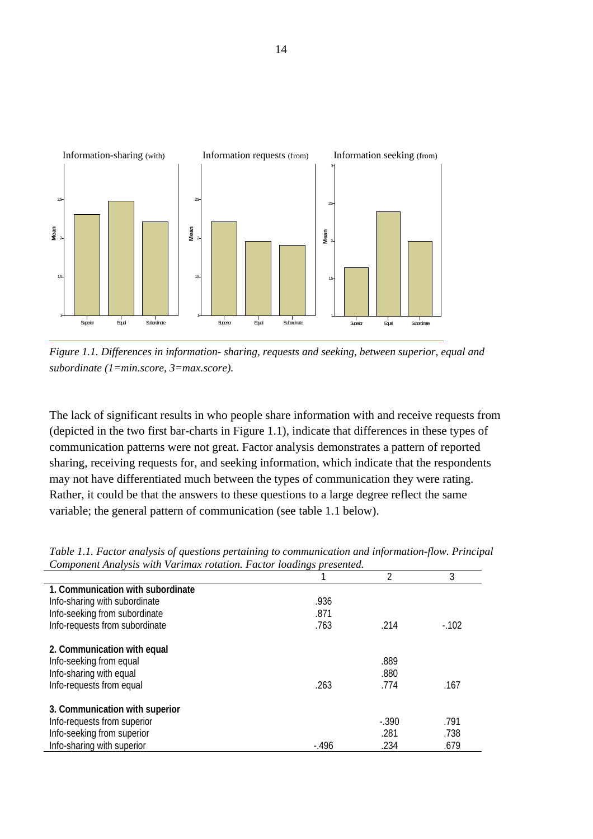

*Figure 1.1. Differences in information- sharing, requests and seeking, between superior, equal and subordinate (1=min.score, 3=max.score).* 

The lack of significant results in who people share information with and receive requests from (depicted in the two first bar-charts in Figure 1.1), indicate that differences in these types of communication patterns were not great. Factor analysis demonstrates a pattern of reported sharing, receiving requests for, and seeking information, which indicate that the respondents may not have differentiated much between the types of communication they were rating. Rather, it could be that the answers to these questions to a large degree reflect the same variable; the general pattern of communication (see table 1.1 below).

| component rinut foto while you throw rotation. I well rotating presenteur |         |         |        |
|---------------------------------------------------------------------------|---------|---------|--------|
|                                                                           |         | 2       | 3      |
| 1. Communication with subordinate                                         |         |         |        |
| Info-sharing with subordinate                                             | .936    |         |        |
| Info-seeking from subordinate                                             | .871    |         |        |
| Info-requests from subordinate                                            | .763    | .214    | $-102$ |
| 2. Communication with equal                                               |         |         |        |
| Info-seeking from equal                                                   |         | .889    |        |
| Info-sharing with equal                                                   |         | .880    |        |
| Info-requests from equal                                                  | .263    | .774    | .167   |
| 3. Communication with superior                                            |         |         |        |
| Info-requests from superior                                               |         | $-.390$ | .791   |
| Info-seeking from superior                                                |         | .281    | .738   |
| Info-sharing with superior                                                | $-.496$ | .234    | .679   |

*Table 1.1. Factor analysis of questions pertaining to communication and information-flow. Principal Component Analysis with Varimax rotation. Factor loadings presented.*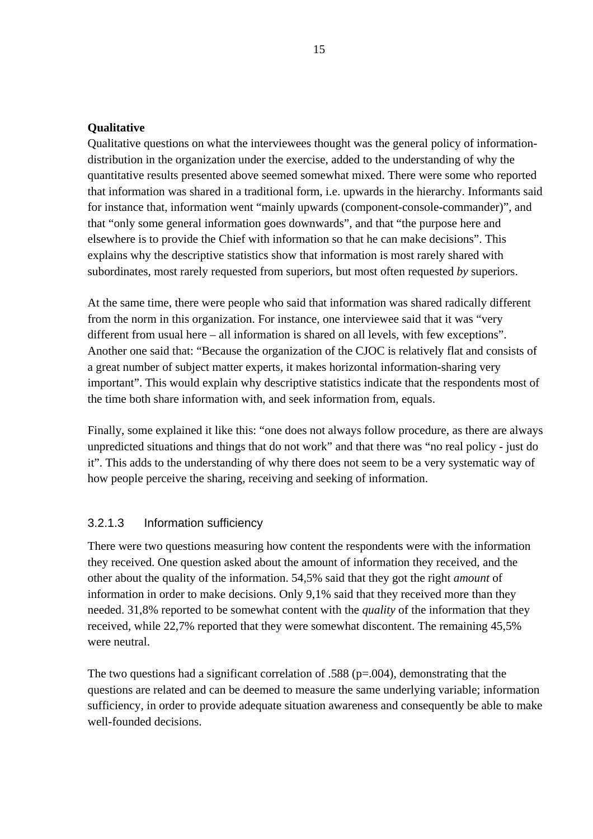#### **Qualitative**

Qualitative questions on what the interviewees thought was the general policy of informationdistribution in the organization under the exercise, added to the understanding of why the quantitative results presented above seemed somewhat mixed. There were some who reported that information was shared in a traditional form, i.e. upwards in the hierarchy. Informants said for instance that, information went "mainly upwards (component-console-commander)", and that "only some general information goes downwards", and that "the purpose here and elsewhere is to provide the Chief with information so that he can make decisions". This explains why the descriptive statistics show that information is most rarely shared with subordinates, most rarely requested from superiors, but most often requested *by* superiors.

At the same time, there were people who said that information was shared radically different from the norm in this organization. For instance, one interviewee said that it was "very different from usual here – all information is shared on all levels, with few exceptions". Another one said that: "Because the organization of the CJOC is relatively flat and consists of a great number of subject matter experts, it makes horizontal information-sharing very important". This would explain why descriptive statistics indicate that the respondents most of the time both share information with, and seek information from, equals.

Finally, some explained it like this: "one does not always follow procedure, as there are always unpredicted situations and things that do not work" and that there was "no real policy - just do it". This adds to the understanding of why there does not seem to be a very systematic way of how people perceive the sharing, receiving and seeking of information.

### 3.2.1.3 Information sufficiency

There were two questions measuring how content the respondents were with the information they received. One question asked about the amount of information they received, and the other about the quality of the information. 54,5% said that they got the right *amount* of information in order to make decisions. Only 9,1% said that they received more than they needed. 31,8% reported to be somewhat content with the *quality* of the information that they received, while 22,7% reported that they were somewhat discontent. The remaining 45,5% were neutral.

The two questions had a significant correlation of .588 (p=.004), demonstrating that the questions are related and can be deemed to measure the same underlying variable; information sufficiency, in order to provide adequate situation awareness and consequently be able to make well-founded decisions.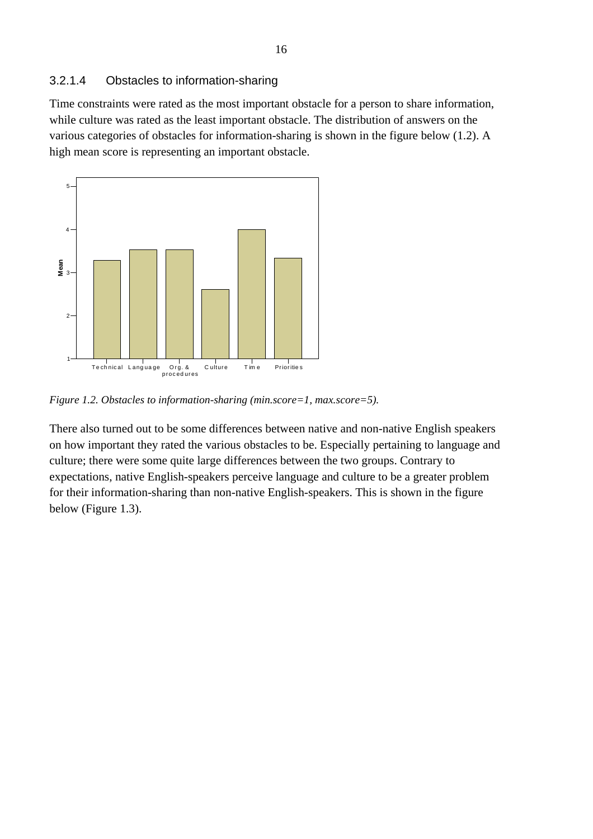Time constraints were rated as the most important obstacle for a person to share information, while culture was rated as the least important obstacle. The distribution of answers on the various categories of obstacles for information-sharing is shown in the figure below (1.2). A high mean score is representing an important obstacle.



*Figure 1.2. Obstacles to information-sharing (min.score=1, max.score=5).* 

There also turned out to be some differences between native and non-native English speakers on how important they rated the various obstacles to be. Especially pertaining to language and culture; there were some quite large differences between the two groups. Contrary to expectations, native English-speakers perceive language and culture to be a greater problem for their information-sharing than non-native English-speakers. This is shown in the figure below (Figure 1.3).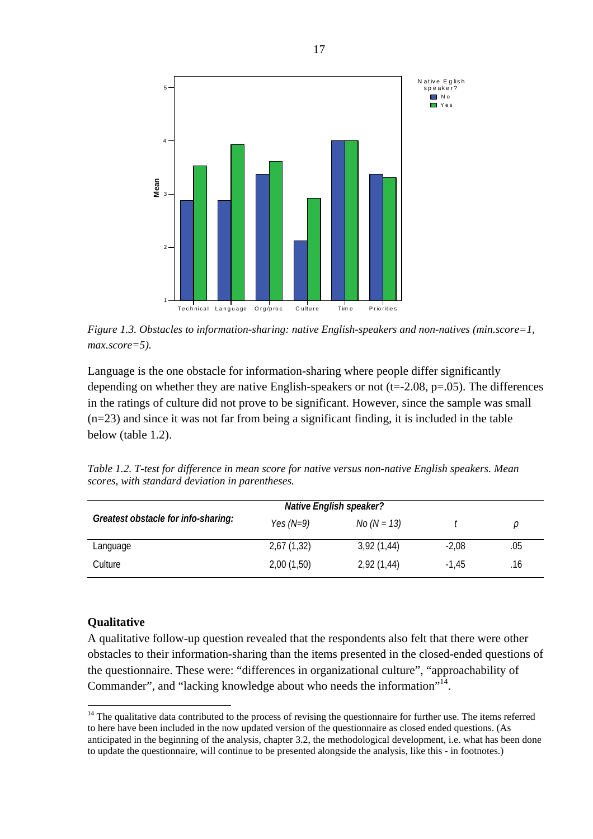

*Figure 1.3. Obstacles to information-sharing: native English-speakers and non-natives (min.score=1, max.score=5).* 

Language is the one obstacle for information-sharing where people differ significantly depending on whether they are native English-speakers or not  $(t=2.08, p=.05)$ . The differences in the ratings of culture did not prove to be significant. However, since the sample was small (n=23) and since it was not far from being a significant finding, it is included in the table below (table 1.2).

| Table 1.2. T-test for difference in mean score for native versus non-native English speakers. Mean |  |
|----------------------------------------------------------------------------------------------------|--|
| scores, with standard deviation in parentheses.                                                    |  |

|                                     |             | <b>Native English speaker?</b> |         |     |
|-------------------------------------|-------------|--------------------------------|---------|-----|
| Greatest obstacle for info-sharing: | Yes $(N=9)$ | <i>No (N = 13)</i>             |         | р   |
| Language                            | 2,67(1,32)  | 3,92(1,44)                     | $-2,08$ | .05 |
| Culture                             | 2,00(1,50)  | 2,92(1,44)                     | $-1.45$ | .16 |

#### **Qualitative**

 $\overline{a}$ 

A qualitative follow-up question revealed that the respondents also felt that there were other obstacles to their information-sharing than the items presented in the closed-ended questions of the questionnaire. These were: "differences in organizational culture", "approachability of Commander", and "lacking knowledge about who needs the information"<sup>14</sup>.

<span id="page-18-0"></span> $14$  The qualitative data contributed to the process of revising the questionnaire for further use. The items referred to here have been included in the now updated version of the questionnaire as closed ended questions. (As anticipated in the beginning of the analysis, chapter 3.2, the methodological development, i.e. what has been done to update the questionnaire, will continue to be presented alongside the analysis, like this - in footnotes.)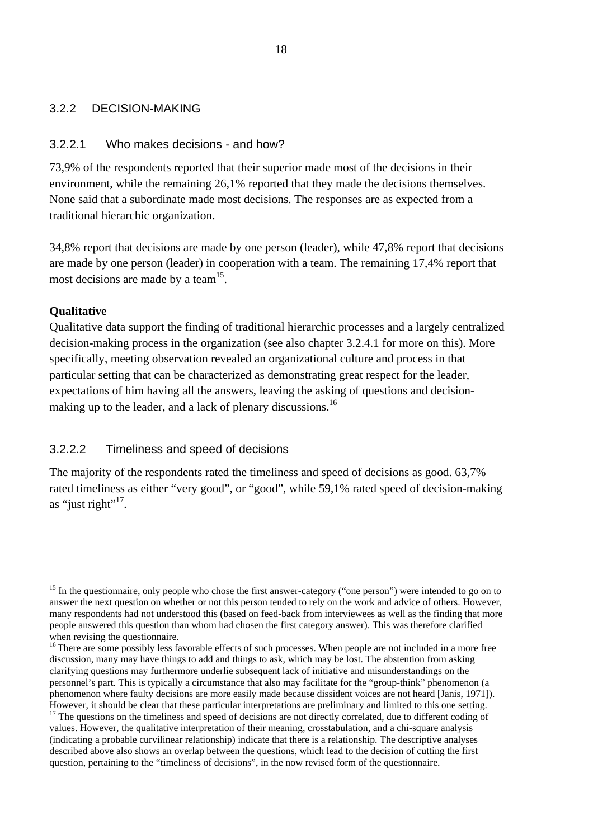### <span id="page-19-0"></span>3.2.2 DECISION-MAKING

### 3.2.2.1 Who makes decisions - and how?

73,9% of the respondents reported that their superior made most of the decisions in their environment, while the remaining 26,1% reported that they made the decisions themselves. None said that a subordinate made most decisions. The responses are as expected from a traditional hierarchic organization.

34,8% report that decisions are made by one person (leader), while 47,8% report that decisions are made by one person (leader) in cooperation with a team. The remaining 17,4% report that most decisions are made by a team<sup>15</sup>.

### **Qualitative**

 $\overline{a}$ 

Qualitative data support the finding of traditional hierarchic processes and a largely centralized decision-making process in the organization (see also chapter 3.2.4.1 for more on this). More specifically, meeting observation revealed an organizational culture and process in that particular setting that can be characterized as demonstrating great respect for the leader, expectations of him having all the answers, leaving the asking of questions and decisionmaking up to the leader, and a lack of plenary discussions.<sup>16</sup>

#### 3.2.2.2 Timeliness and speed of decisions

The majority of the respondents rated the timeliness and speed of decisions as good. 63,7% rated timeliness as either "very good", or "good", while 59,1% rated speed of decision-making as "just right"<sup>17</sup>.

<span id="page-19-1"></span><sup>&</sup>lt;sup>15</sup> In the questionnaire, only people who chose the first answer-category ("one person") were intended to go on to answer the next question on whether or not this person tended to rely on the work and advice of others. However, many respondents had not understood this (based on feed-back from interviewees as well as the finding that more people answered this question than whom had chosen the first category answer). This was therefore clarified

<span id="page-19-2"></span>when revising the questionnaire.<br><sup>16</sup> There are some possibly less favorable effects of such processes. When people are not included in a more free discussion, many may have things to add and things to ask, which may be lost. The abstention from asking clarifying questions may furthermore underlie subsequent lack of initiative and misunderstandings on the personnel's part. This is typically a circumstance that also may facilitate for the "group-think" phenomenon (a phenomenon where faulty decisions are more easily made because dissident voices are not heard [Janis, 1971]). However, it should be clear that these particular interpretations are preliminary and limited to this one setting.<br><sup>17</sup> The questions on the timeliness and speed of decisions are not directly correlated, due to different c

<span id="page-19-3"></span>values. However, the qualitative interpretation of their meaning, crosstabulation, and a chi-square analysis (indicating a probable curvilinear relationship) indicate that there is a relationship. The descriptive analyses described above also shows an overlap between the questions, which lead to the decision of cutting the first question, pertaining to the "timeliness of decisions", in the now revised form of the questionnaire.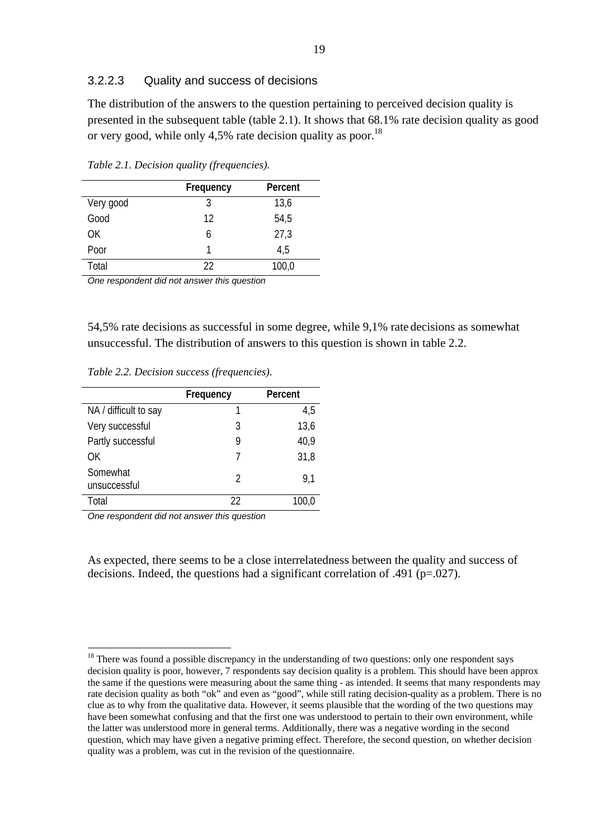#### 3.2.2.3 Quality and success of decisions

The distribution of the answers to the question pertaining to perceived decision quality is presented in the subsequent table (table 2.1). It shows that 68.1% rate decision quality as good or very good, while only 4,5% rate decision quality as poor.<sup>[18](#page-20-0)</sup>

|           | Frequency | Percent |
|-----------|-----------|---------|
| Very good | 3         | 13,6    |
| Good      | 12        | 54,5    |
| 0K        | h         | 27,3    |
| Poor      | 1         | 4,5     |
| Total     | 22        | 100,0   |

*Table 2.1. Decision quality (frequencies).* 

*One respondent did not answer this question*

54,5% rate decisions as successful in some degree, while 9,1% rate decisions as somewhat unsuccessful. The distribution of answers to this question is shown in table 2.2.

*Table 2.2. Decision success (frequencies).* 

|                          | Frequency | Percent |
|--------------------------|-----------|---------|
| NA / difficult to say    |           | 4,5     |
| Very successful          | 3         | 13,6    |
| Partly successful        | g         | 40,9    |
| OΚ                       |           | 31,8    |
| Somewhat<br>unsuccessful | 2         | 9.1     |
| Total                    | 22        | 100,0   |

*One respondent did not answer this question*

 $\overline{a}$ 

As expected, there seems to be a close interrelatedness between the quality and success of decisions. Indeed, the questions had a significant correlation of .491 ( $p=0.027$ ).

<span id="page-20-0"></span><sup>&</sup>lt;sup>18</sup> There was found a possible discrepancy in the understanding of two questions: only one respondent says decision quality is poor, however, 7 respondents say decision quality is a problem. This should have been approx the same if the questions were measuring about the same thing - as intended. It seems that many respondents may rate decision quality as both "ok" and even as "good", while still rating decision-quality as a problem. There is no clue as to why from the qualitative data. However, it seems plausible that the wording of the two questions may have been somewhat confusing and that the first one was understood to pertain to their own environment, while the latter was understood more in general terms. Additionally, there was a negative wording in the second question, which may have given a negative priming effect. Therefore, the second question, on whether decision quality was a problem, was cut in the revision of the questionnaire.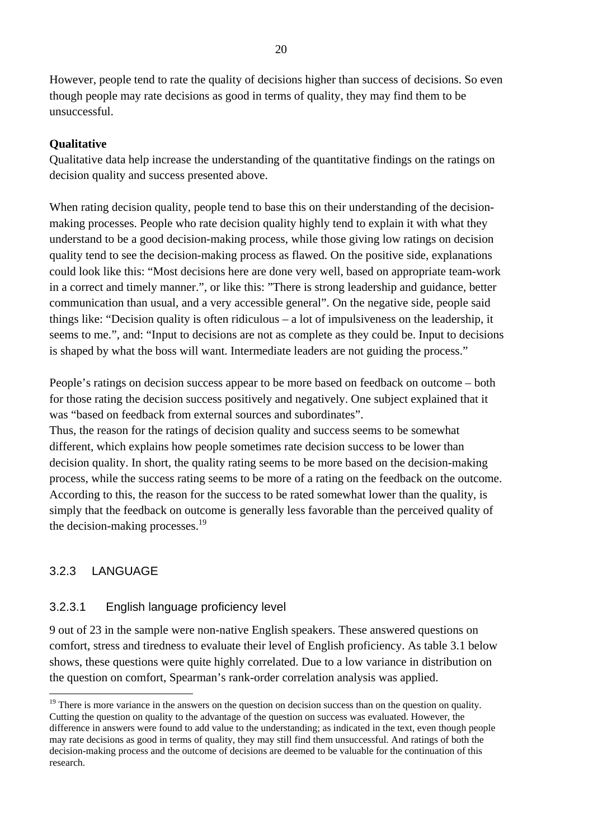<span id="page-21-0"></span>However, people tend to rate the quality of decisions higher than success of decisions. So even though people may rate decisions as good in terms of quality, they may find them to be unsuccessful.

#### **Qualitative**

Qualitative data help increase the understanding of the quantitative findings on the ratings on decision quality and success presented above.

When rating decision quality, people tend to base this on their understanding of the decisionmaking processes. People who rate decision quality highly tend to explain it with what they understand to be a good decision-making process, while those giving low ratings on decision quality tend to see the decision-making process as flawed. On the positive side, explanations could look like this: "Most decisions here are done very well, based on appropriate team-work in a correct and timely manner.", or like this: "There is strong leadership and guidance, better communication than usual, and a very accessible general". On the negative side, people said things like: "Decision quality is often ridiculous – a lot of impulsiveness on the leadership, it seems to me.", and: "Input to decisions are not as complete as they could be. Input to decisions is shaped by what the boss will want. Intermediate leaders are not guiding the process."

People's ratings on decision success appear to be more based on feedback on outcome – both for those rating the decision success positively and negatively. One subject explained that it was "based on feedback from external sources and subordinates".

Thus, the reason for the ratings of decision quality and success seems to be somewhat different, which explains how people sometimes rate decision success to be lower than decision quality. In short, the quality rating seems to be more based on the decision-making process, while the success rating seems to be more of a rating on the feedback on the outcome. According to this, the reason for the success to be rated somewhat lower than the quality, is simply that the feedback on outcome is generally less favorable than the perceived quality of the decision-making processes.<sup>[19](#page-21-1)</sup>

### 3.2.3 LANGUAGE

 $\overline{a}$ 

### 3.2.3.1 English language proficiency level

9 out of 23 in the sample were non-native English speakers. These answered questions on comfort, stress and tiredness to evaluate their level of English proficiency. As table 3.1 below shows, these questions were quite highly correlated. Due to a low variance in distribution on the question on comfort, Spearman's rank-order correlation analysis was applied.

<span id="page-21-1"></span><sup>&</sup>lt;sup>19</sup> There is more variance in the answers on the question on decision success than on the question on quality. Cutting the question on quality to the advantage of the question on success was evaluated. However, the difference in answers were found to add value to the understanding; as indicated in the text, even though people may rate decisions as good in terms of quality, they may still find them unsuccessful. And ratings of both the decision-making process and the outcome of decisions are deemed to be valuable for the continuation of this research.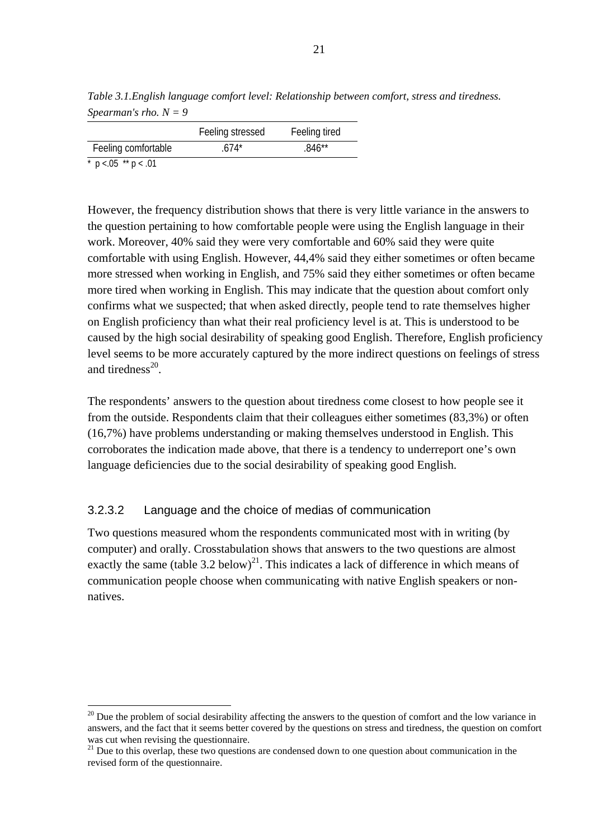*Table 3.1.English language comfort level: Relationship between comfort, stress and tiredness. Spearman's rho. N = 9* 

|                               | Feeling stressed<br>Feeling tired |
|-------------------------------|-----------------------------------|
| Feeling comfortable<br>$674*$ | .846**                            |

 $\overline{p}$  o <.05 \*\* p < .01

 $\overline{a}$ 

However, the frequency distribution shows that there is very little variance in the answers to the question pertaining to how comfortable people were using the English language in their work. Moreover, 40% said they were very comfortable and 60% said they were quite comfortable with using English. However, 44,4% said they either sometimes or often became more stressed when working in English, and 75% said they either sometimes or often became more tired when working in English. This may indicate that the question about comfort only confirms what we suspected; that when asked directly, people tend to rate themselves higher on English proficiency than what their real proficiency level is at. This is understood to be caused by the high social desirability of speaking good English. Therefore, English proficiency level seems to be more accurately captured by the more indirect questions on feelings of stress and tiredness $^{20}$ .

The respondents' answers to the question about tiredness come closest to how people see it from the outside. Respondents claim that their colleagues either sometimes (83,3%) or often (16,7%) have problems understanding or making themselves understood in English. This corroborates the indication made above, that there is a tendency to underreport one's own language deficiencies due to the social desirability of speaking good English.

### 3.2.3.2 Language and the choice of medias of communication

Two questions measured whom the respondents communicated most with in writing (by computer) and orally. Crosstabulation shows that answers to the two questions are almost exactly the same (table 3.2 below)<sup>21</sup>. This indicates a lack of difference in which means of communication people choose when communicating with native English speakers or nonnatives.

<span id="page-22-0"></span> $20$  Due the problem of social desirability affecting the answers to the question of comfort and the low variance in answers, and the fact that it seems better covered by the questions on stress and tiredness, the question on comfort was cut when revising the questionnaire.<br><sup>21</sup> Due to this overlap, these two questions are condensed down to one question about communication in the

<span id="page-22-1"></span>revised form of the questionnaire.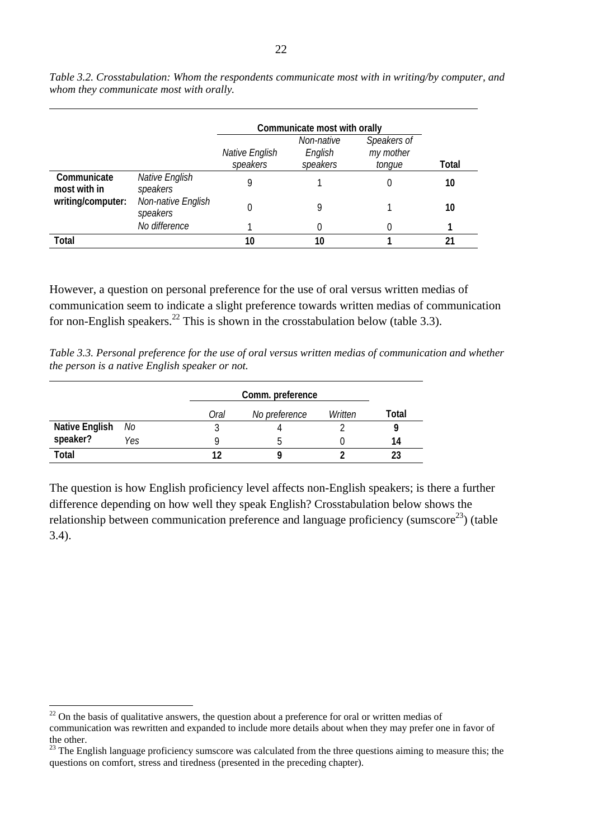|                             |                                |                            | Communicate most with orally      |                                    |       |
|-----------------------------|--------------------------------|----------------------------|-----------------------------------|------------------------------------|-------|
|                             |                                | Native English<br>speakers | Non-native<br>English<br>speakers | Speakers of<br>my mother<br>tonque | Total |
| Communicate<br>most with in | Native English<br>speakers     | 9                          |                                   |                                    | 10    |
| writing/computer:           | Non-native English<br>speakers |                            | Q                                 |                                    | 10    |
|                             | No difference                  |                            |                                   |                                    |       |
| <b>Total</b>                |                                | 10                         | 10                                |                                    | 21    |

*Table 3.2. Crosstabulation: Whom the respondents communicate most with in writing/by computer, and whom they communicate most with orally.* 

However, a question on personal preference for the use of oral versus written medias of communication seem to indicate a slight preference towards written medias of communication for non-English speakers.<sup>22</sup> This is shown in the crosstabulation below (table 3.3).

*Table 3.3. Personal preference for the use of oral versus written medias of communication and whether the person is a native English speaker or not.*

|                       |     |      | Comm. preference |         |       |  |
|-----------------------|-----|------|------------------|---------|-------|--|
|                       |     | Oral | No preference    | Written | Total |  |
| <b>Native English</b> | No  |      |                  |         |       |  |
| speaker?              | Yes |      |                  |         | 14    |  |
| Total                 |     |      |                  |         |       |  |

The question is how English proficiency level affects non-English speakers; is there a further difference depending on how well they speak English? Crosstabulation below shows the relationship between communication preference and language proficiency (sumscore<sup>23</sup>) (table 3.4).

 $\overline{a}$ 

<span id="page-23-0"></span> $22$  On the basis of qualitative answers, the question about a preference for oral or written medias of communication was rewritten and expanded to include more details about when they may prefer one in favor of the other.

<span id="page-23-1"></span> $23$  The English language proficiency sumscore was calculated from the three questions aiming to measure this; the questions on comfort, stress and tiredness (presented in the preceding chapter).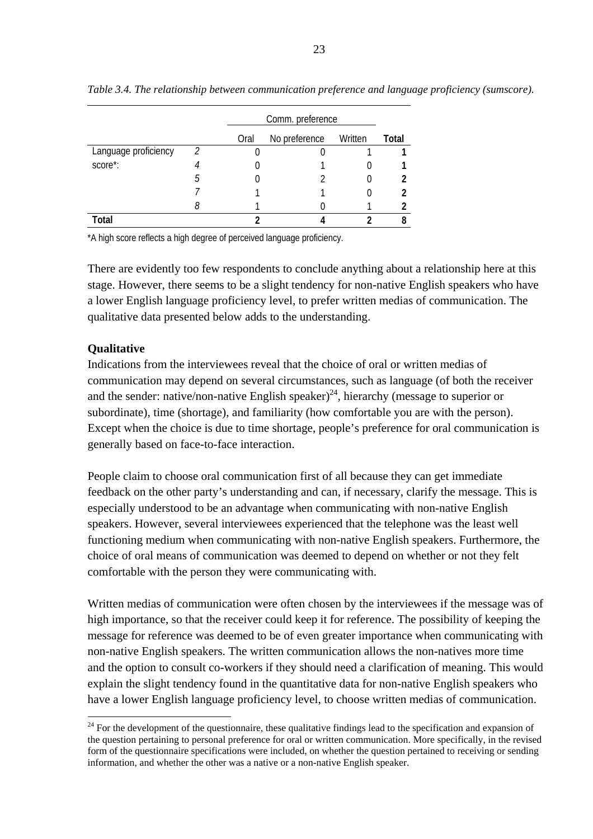|                      |   |      | Comm. preference |         |              |  |  |
|----------------------|---|------|------------------|---------|--------------|--|--|
|                      |   | Oral | No preference    | Written | <b>Total</b> |  |  |
| Language proficiency | 2 |      |                  |         |              |  |  |
| score*:              |   |      |                  |         |              |  |  |
|                      | h |      |                  |         |              |  |  |
|                      |   |      |                  |         |              |  |  |
|                      |   |      |                  |         |              |  |  |
| Total                |   |      |                  |         | 8            |  |  |

*Table 3.4. The relationship between communication preference and language proficiency (sumscore).* 

\*A high score reflects a high degree of perceived language proficiency.

There are evidently too few respondents to conclude anything about a relationship here at this stage. However, there seems to be a slight tendency for non-native English speakers who have a lower English language proficiency level, to prefer written medias of communication. The qualitative data presented below adds to the understanding.

#### **Qualitative**

 $\overline{a}$ 

Indications from the interviewees reveal that the choice of oral or written medias of communication may depend on several circumstances, such as language (of both the receiver and the sender: native/non-native English speaker)<sup>24</sup>, hierarchy (message to superior or subordinate), time (shortage), and familiarity (how comfortable you are with the person). Except when the choice is due to time shortage, people's preference for oral communication is generally based on face-to-face interaction.

People claim to choose oral communication first of all because they can get immediate feedback on the other party's understanding and can, if necessary, clarify the message. This is especially understood to be an advantage when communicating with non-native English speakers. However, several interviewees experienced that the telephone was the least well functioning medium when communicating with non-native English speakers. Furthermore, the choice of oral means of communication was deemed to depend on whether or not they felt comfortable with the person they were communicating with.

Written medias of communication were often chosen by the interviewees if the message was of high importance, so that the receiver could keep it for reference. The possibility of keeping the message for reference was deemed to be of even greater importance when communicating with non-native English speakers. The written communication allows the non-natives more time and the option to consult co-workers if they should need a clarification of meaning. This would explain the slight tendency found in the quantitative data for non-native English speakers who have a lower English language proficiency level, to choose written medias of communication.

<span id="page-24-0"></span> $24$  For the development of the questionnaire, these qualitative findings lead to the specification and expansion of the question pertaining to personal preference for oral or written communication. More specifically, in the revised form of the questionnaire specifications were included, on whether the question pertained to receiving or sending information, and whether the other was a native or a non-native English speaker.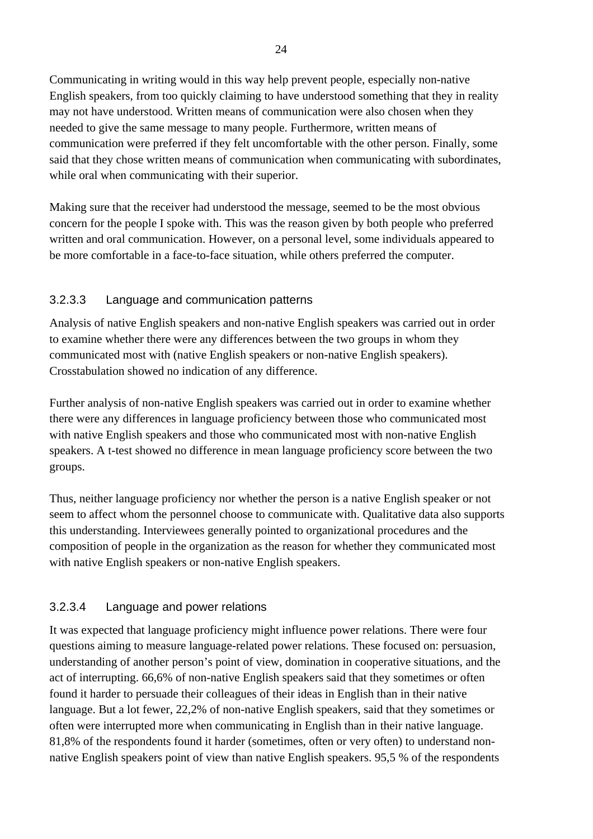Communicating in writing would in this way help prevent people, especially non-native English speakers, from too quickly claiming to have understood something that they in reality may not have understood. Written means of communication were also chosen when they needed to give the same message to many people. Furthermore, written means of communication were preferred if they felt uncomfortable with the other person. Finally, some said that they chose written means of communication when communicating with subordinates, while oral when communicating with their superior.

Making sure that the receiver had understood the message, seemed to be the most obvious concern for the people I spoke with. This was the reason given by both people who preferred written and oral communication. However, on a personal level, some individuals appeared to be more comfortable in a face-to-face situation, while others preferred the computer.

# 3.2.3.3 Language and communication patterns

Analysis of native English speakers and non-native English speakers was carried out in order to examine whether there were any differences between the two groups in whom they communicated most with (native English speakers or non-native English speakers). Crosstabulation showed no indication of any difference.

Further analysis of non-native English speakers was carried out in order to examine whether there were any differences in language proficiency between those who communicated most with native English speakers and those who communicated most with non-native English speakers. A t-test showed no difference in mean language proficiency score between the two groups.

Thus, neither language proficiency nor whether the person is a native English speaker or not seem to affect whom the personnel choose to communicate with. Qualitative data also supports this understanding. Interviewees generally pointed to organizational procedures and the composition of people in the organization as the reason for whether they communicated most with native English speakers or non-native English speakers.

### 3.2.3.4 Language and power relations

It was expected that language proficiency might influence power relations. There were four questions aiming to measure language-related power relations. These focused on: persuasion, understanding of another person's point of view, domination in cooperative situations, and the act of interrupting. 66,6% of non-native English speakers said that they sometimes or often found it harder to persuade their colleagues of their ideas in English than in their native language. But a lot fewer, 22,2% of non-native English speakers, said that they sometimes or often were interrupted more when communicating in English than in their native language. 81,8% of the respondents found it harder (sometimes, often or very often) to understand nonnative English speakers point of view than native English speakers. 95,5 % of the respondents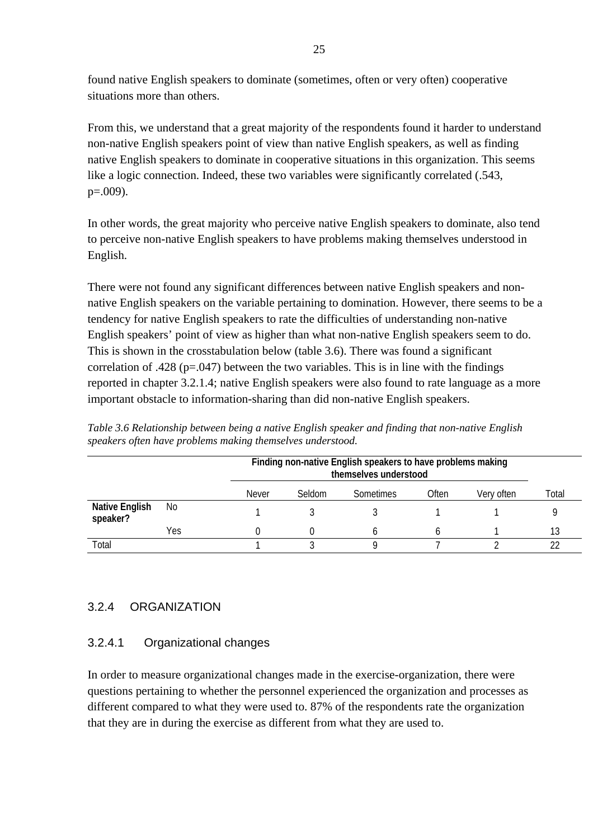<span id="page-26-0"></span>found native English speakers to dominate (sometimes, often or very often) cooperative situations more than others.

From this, we understand that a great majority of the respondents found it harder to understand non-native English speakers point of view than native English speakers, as well as finding native English speakers to dominate in cooperative situations in this organization. This seems like a logic connection. Indeed, these two variables were significantly correlated (.543, p=.009).

In other words, the great majority who perceive native English speakers to dominate, also tend to perceive non-native English speakers to have problems making themselves understood in English.

There were not found any significant differences between native English speakers and nonnative English speakers on the variable pertaining to domination. However, there seems to be a tendency for native English speakers to rate the difficulties of understanding non-native English speakers' point of view as higher than what non-native English speakers seem to do. This is shown in the crosstabulation below (table 3.6). There was found a significant correlation of .428 ( $p=0.047$ ) between the two variables. This is in line with the findings reported in chapter 3.2.1.4; native English speakers were also found to rate language as a more important obstacle to information-sharing than did non-native English speakers.

|                            |     |              | Finding non-native English speakers to have problems making<br>themselves understood |           |       |            |        |
|----------------------------|-----|--------------|--------------------------------------------------------------------------------------|-----------|-------|------------|--------|
|                            |     | <b>Never</b> | Seldom                                                                               | Sometimes | Often | Very often | Total  |
| Native English<br>speaker? | No  |              |                                                                                      |           |       |            |        |
|                            | Yes |              |                                                                                      |           |       |            | 13     |
| Total                      |     |              |                                                                                      |           |       |            | $\sim$ |

*Table 3.6 Relationship between being a native English speaker and finding that non-native English speakers often have problems making themselves understood.* 

# 3.2.4 ORGANIZATION

# 3.2.4.1 Organizational changes

In order to measure organizational changes made in the exercise-organization, there were questions pertaining to whether the personnel experienced the organization and processes as different compared to what they were used to. 87% of the respondents rate the organization that they are in during the exercise as different from what they are used to.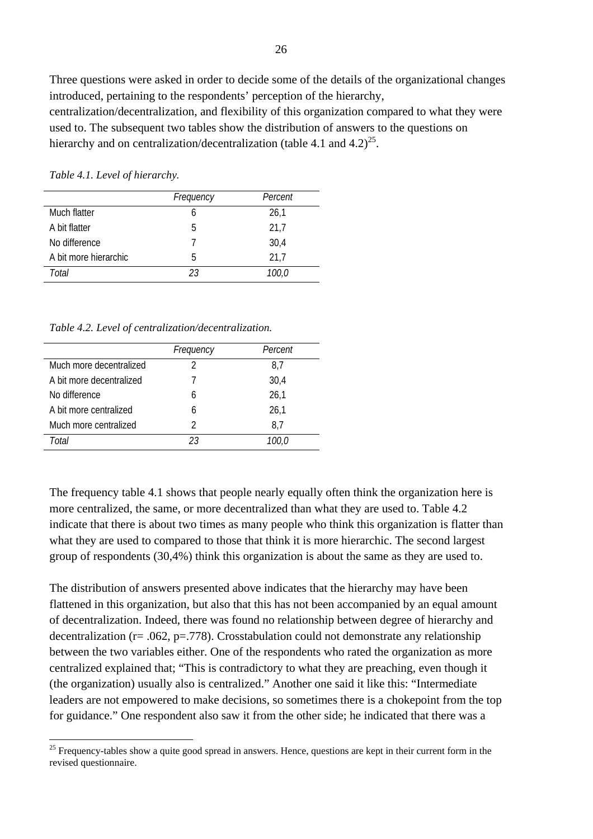Three questions were asked in order to decide some of the details of the organizational changes introduced, pertaining to the respondents' perception of the hierarchy,

centralization/decentralization, and flexibility of this organization compared to what they were used to. The subsequent two tables show the distribution of answers to the questions on hierarchy and on centralization/decentralization (table 4.1 and  $4.2$ )<sup>25</sup>.

*Frequency Percent* Much flatter 6 26,1 A bit flatter 5 21.7 No difference 7 30.4 A bit more hierarchic 5 21.7 *Total 23 100,0*

*Table 4.1. Level of hierarchy.* 

 $\overline{a}$ 

*Table 4.2. Level of centralization/decentralization.* 

|                          | Frequency | Percent |
|--------------------------|-----------|---------|
| Much more decentralized  |           | 8.7     |
| A bit more decentralized |           | 30,4    |
| No difference            | 6         | 26.1    |
| A bit more centralized   | 6         | 26,1    |
| Much more centralized    | 2         | 8.7     |
| Total                    | 23        | 100.0   |

The frequency table 4.1 shows that people nearly equally often think the organization here is more centralized, the same, or more decentralized than what they are used to. Table 4.2 indicate that there is about two times as many people who think this organization is flatter than what they are used to compared to those that think it is more hierarchic. The second largest group of respondents (30,4%) think this organization is about the same as they are used to.

The distribution of answers presented above indicates that the hierarchy may have been flattened in this organization, but also that this has not been accompanied by an equal amount of decentralization. Indeed, there was found no relationship between degree of hierarchy and decentralization ( $r = .062$ ,  $p = .778$ ). Crosstabulation could not demonstrate any relationship between the two variables either. One of the respondents who rated the organization as more centralized explained that; "This is contradictory to what they are preaching, even though it (the organization) usually also is centralized." Another one said it like this: "Intermediate leaders are not empowered to make decisions, so sometimes there is a chokepoint from the top for guidance." One respondent also saw it from the other side; he indicated that there was a

<span id="page-27-0"></span><sup>&</sup>lt;sup>25</sup> Frequency-tables show a quite good spread in answers. Hence, questions are kept in their current form in the revised questionnaire.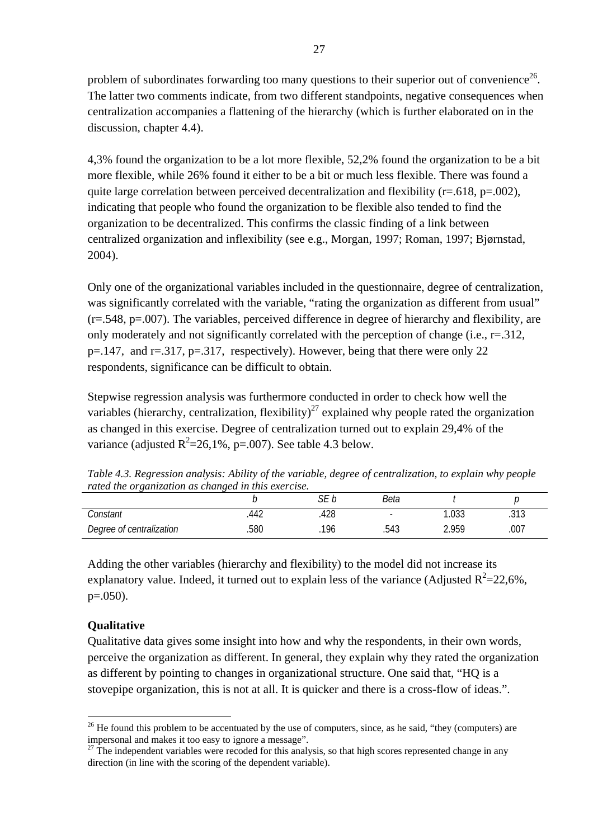problem of subordinates forwarding too many questions to their superior out of convenience<sup>26</sup>. The latter two comments indicate, from two different standpoints, negative consequences when centralization accompanies a flattening of the hierarchy (which is further elaborated on in the discussion, chapter 4.4).

4,3% found the organization to be a lot more flexible, 52,2% found the organization to be a bit more flexible, while 26% found it either to be a bit or much less flexible. There was found a quite large correlation between perceived decentralization and flexibility ( $r=.618$ ,  $p=.002$ ), indicating that people who found the organization to be flexible also tended to find the organization to be decentralized. This confirms the classic finding of a link between centralized organization and inflexibility (see e.g., Morgan, 1997; Roman, 1997; Bjørnstad, 2004).

Only one of the organizational variables included in the questionnaire, degree of centralization, was significantly correlated with the variable, "rating the organization as different from usual" (r=.548, p=.007). The variables, perceived difference in degree of hierarchy and flexibility, are only moderately and not significantly correlated with the perception of change (i.e., r=.312, p=.147, and r=.317, p=.317, respectively). However, being that there were only 22 respondents, significance can be difficult to obtain.

Stepwise regression analysis was furthermore conducted in order to check how well the variables (hierarchy, centralization, flexibility)<sup>27</sup> explained why people rated the organization as changed in this exercise. Degree of centralization turned out to explain 29,4% of the variance (adjusted  $R^2 = 26,1\%$ , p=.007). See table 4.3 below.

*Table 4.3. Regression analysis: Ability of the variable, degree of centralization, to explain why people rated the organization as changed in this exercise.* 

| Tanca the Organization as changed in this exercise. |      | ۲F  | Beta |       |      |  |
|-----------------------------------------------------|------|-----|------|-------|------|--|
| Constant                                            | 44z  | 428 |      |       | .313 |  |
| Degree of centralization                            | .580 | 196 | .543 | 2.959 | .007 |  |

Adding the other variables (hierarchy and flexibility) to the model did not increase its explanatory value. Indeed, it turned out to explain less of the variance (Adjusted  $R^2$ =22,6%,  $p=.050$ ).

# **Qualitative**

 $\overline{a}$ 

Qualitative data gives some insight into how and why the respondents, in their own words, perceive the organization as different. In general, they explain why they rated the organization as different by pointing to changes in organizational structure. One said that, "HQ is a stovepipe organization, this is not at all. It is quicker and there is a cross-flow of ideas.".

<span id="page-28-0"></span> $26$  He found this problem to be accentuated by the use of computers, since, as he said, "they (computers) are impersonal and makes it too easy to ignore a message".<br><sup>27</sup> The independent variables were recoded for this analysis, so that high scores represented change in any

<span id="page-28-1"></span>direction (in line with the scoring of the dependent variable).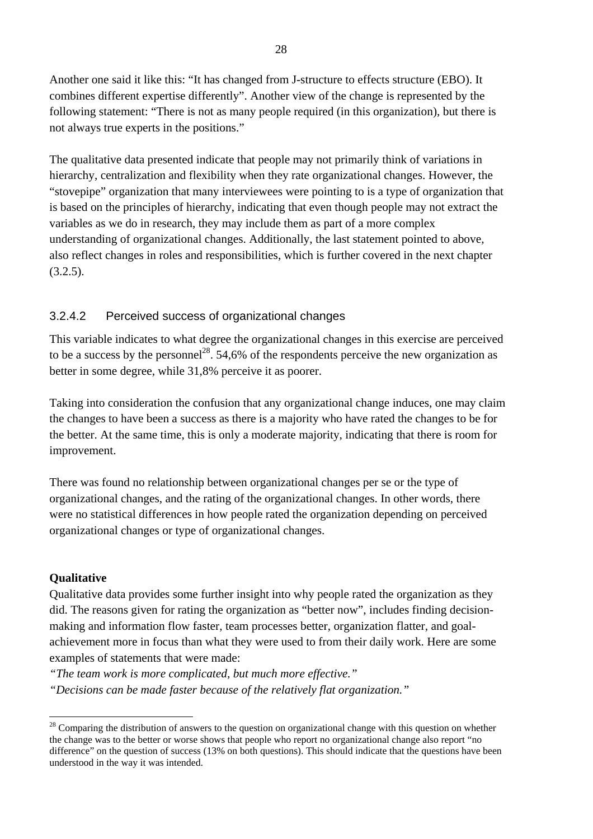Another one said it like this: "It has changed from J-structure to effects structure (EBO). It combines different expertise differently". Another view of the change is represented by the following statement: "There is not as many people required (in this organization), but there is not always true experts in the positions."

The qualitative data presented indicate that people may not primarily think of variations in hierarchy, centralization and flexibility when they rate organizational changes. However, the "stovepipe" organization that many interviewees were pointing to is a type of organization that is based on the principles of hierarchy, indicating that even though people may not extract the variables as we do in research, they may include them as part of a more complex understanding of organizational changes. Additionally, the last statement pointed to above, also reflect changes in roles and responsibilities, which is further covered in the next chapter  $(3.2.5).$ 

### 3.2.4.2 Perceived success of organizational changes

This variable indicates to what degree the organizational changes in this exercise are perceived to be a success by the personnel<sup>28</sup>. 54,6% of the respondents perceive the new organization as better in some degree, while 31,8% perceive it as poorer.

Taking into consideration the confusion that any organizational change induces, one may claim the changes to have been a success as there is a majority who have rated the changes to be for the better. At the same time, this is only a moderate majority, indicating that there is room for improvement.

There was found no relationship between organizational changes per se or the type of organizational changes, and the rating of the organizational changes. In other words, there were no statistical differences in how people rated the organization depending on perceived organizational changes or type of organizational changes.

#### **Qualitative**

 $\overline{a}$ 

Qualitative data provides some further insight into why people rated the organization as they did. The reasons given for rating the organization as "better now", includes finding decisionmaking and information flow faster, team processes better, organization flatter, and goalachievement more in focus than what they were used to from their daily work. Here are some examples of statements that were made:

*"The team work is more complicated, but much more effective."* 

*"Decisions can be made faster because of the relatively flat organization."* 

<span id="page-29-0"></span> $28$  Comparing the distribution of answers to the question on organizational change with this question on whether the change was to the better or worse shows that people who report no organizational change also report "no difference" on the question of success (13% on both questions). This should indicate that the questions have been understood in the way it was intended.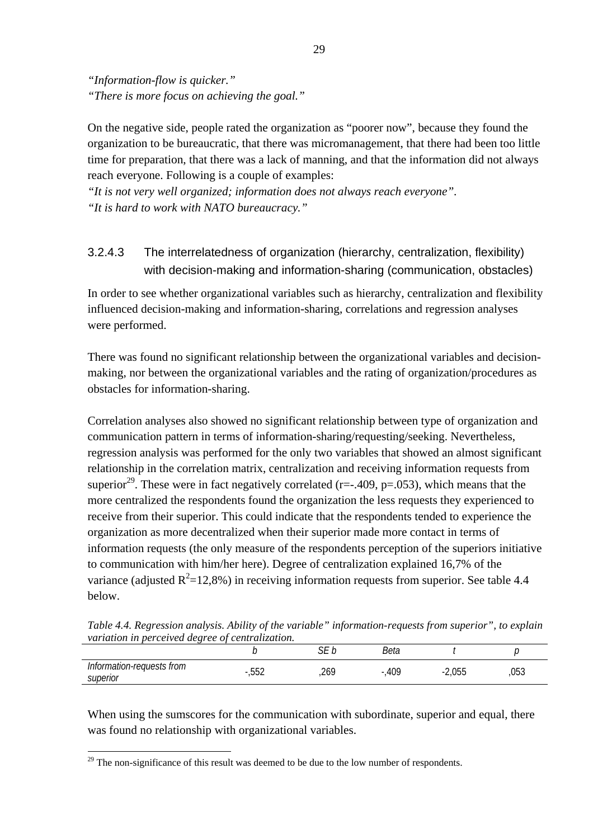*"Information-flow is quicker." "There is more focus on achieving the goal."*

On the negative side, people rated the organization as "poorer now", because they found the organization to be bureaucratic, that there was micromanagement, that there had been too little time for preparation, that there was a lack of manning, and that the information did not always reach everyone. Following is a couple of examples:

*"It is not very well organized; information does not always reach everyone". "It is hard to work with NATO bureaucracy."* 

# 3.2.4.3 The interrelatedness of organization (hierarchy, centralization, flexibility) with decision-making and information-sharing (communication, obstacles)

In order to see whether organizational variables such as hierarchy, centralization and flexibility influenced decision-making and information-sharing, correlations and regression analyses were performed.

There was found no significant relationship between the organizational variables and decisionmaking, nor between the organizational variables and the rating of organization/procedures as obstacles for information-sharing.

Correlation analyses also showed no significant relationship between type of organization and communication pattern in terms of information-sharing/requesting/seeking. Nevertheless, regression analysis was performed for the only two variables that showed an almost significant relationship in the correlation matrix, centralization and receiving information requests from superior<sup>29</sup>. These were in fact negatively correlated (r=-.409, p=.053), which means that the more centralized the respondents found the organization the less requests they experienced to receive from their superior. This could indicate that the respondents tended to experience the organization as more decentralized when their superior made more contact in terms of information requests (the only measure of the respondents perception of the superiors initiative to communication with him/her here). Degree of centralization explained 16,7% of the variance (adjusted  $R^2$ =12,8%) in receiving information requests from superior. See table 4.4 below.

*Table 4.4. Regression analysis. Ability of the variable" information-requests from superior", to explain variation in perceived degree of centralization.* 

|                                |                    | $\sim$ $-$<br>ັ | Beta     |          |     |
|--------------------------------|--------------------|-----------------|----------|----------|-----|
| formation-requests from<br>Int | $F F \Omega$<br>ь. |                 | $-0.409$ | $-2,055$ | 053 |
| superior                       | , J J Z            | ر ں ے,          |          |          |     |

When using the sumscores for the communication with subordinate, superior and equal, there was found no relationship with organizational variables.

 $\overline{a}$ 

<span id="page-30-0"></span> $29$  The non-significance of this result was deemed to be due to the low number of respondents.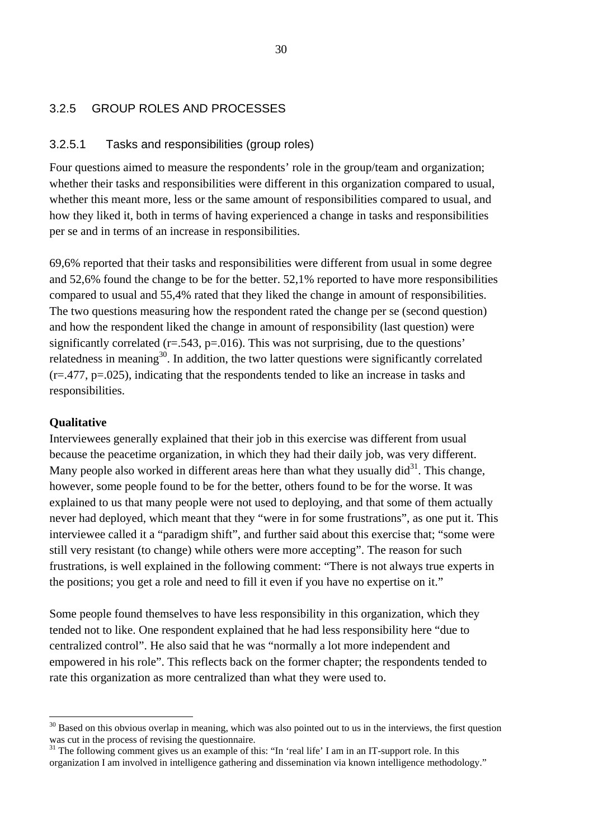### <span id="page-31-0"></span>3.2.5 GROUP ROLES AND PROCESSES

#### 3.2.5.1 Tasks and responsibilities (group roles)

Four questions aimed to measure the respondents' role in the group/team and organization; whether their tasks and responsibilities were different in this organization compared to usual, whether this meant more, less or the same amount of responsibilities compared to usual, and how they liked it, both in terms of having experienced a change in tasks and responsibilities per se and in terms of an increase in responsibilities.

69,6% reported that their tasks and responsibilities were different from usual in some degree and 52,6% found the change to be for the better. 52,1% reported to have more responsibilities compared to usual and 55,4% rated that they liked the change in amount of responsibilities. The two questions measuring how the respondent rated the change per se (second question) and how the respondent liked the change in amount of responsibility (last question) were significantly correlated  $(r=.543, p=.016)$ . This was not surprising, due to the questions' relatedness in meaning<sup>30</sup>. In addition, the two latter questions were significantly correlated (r=.477, p=.025), indicating that the respondents tended to like an increase in tasks and responsibilities.

#### **Qualitative**

 $\overline{a}$ 

Interviewees generally explained that their job in this exercise was different from usual because the peacetime organization, in which they had their daily job, was very different. Many people also worked in different areas here than what they usually  $\text{did}^{31}$ . This change, however, some people found to be for the better, others found to be for the worse. It was explained to us that many people were not used to deploying, and that some of them actually never had deployed, which meant that they "were in for some frustrations", as one put it. This interviewee called it a "paradigm shift", and further said about this exercise that; "some were still very resistant (to change) while others were more accepting". The reason for such frustrations, is well explained in the following comment: "There is not always true experts in the positions; you get a role and need to fill it even if you have no expertise on it."

Some people found themselves to have less responsibility in this organization, which they tended not to like. One respondent explained that he had less responsibility here "due to centralized control". He also said that he was "normally a lot more independent and empowered in his role". This reflects back on the former chapter; the respondents tended to rate this organization as more centralized than what they were used to.

<span id="page-31-1"></span><sup>&</sup>lt;sup>30</sup> Based on this obvious overlap in meaning, which was also pointed out to us in the interviews, the first question was cut in the process of revising the questionnaire.<br><sup>31</sup> The following comment gives us an example of this: "In 'real life' I am in an IT-support role. In this

<span id="page-31-2"></span>organization I am involved in intelligence gathering and dissemination via known intelligence methodology."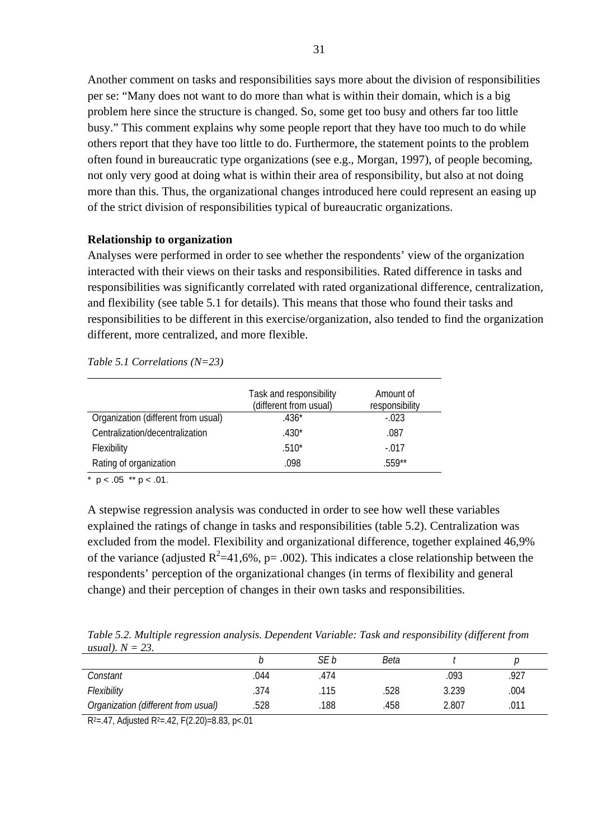Another comment on tasks and responsibilities says more about the division of responsibilities per se: "Many does not want to do more than what is within their domain, which is a big problem here since the structure is changed. So, some get too busy and others far too little busy." This comment explains why some people report that they have too much to do while others report that they have too little to do. Furthermore, the statement points to the problem often found in bureaucratic type organizations (see e.g., Morgan, 1997), of people becoming, not only very good at doing what is within their area of responsibility, but also at not doing more than this. Thus, the organizational changes introduced here could represent an easing up of the strict division of responsibilities typical of bureaucratic organizations.

#### **Relationship to organization**

Analyses were performed in order to see whether the respondents' view of the organization interacted with their views on their tasks and responsibilities. Rated difference in tasks and responsibilities was significantly correlated with rated organizational difference, centralization, and flexibility (see table 5.1 for details). This means that those who found their tasks and responsibilities to be different in this exercise/organization, also tended to find the organization different, more centralized, and more flexible.

*Table 5.1 Correlations (N=23)* 

|                                     | Task and responsibility<br>(different from usual) | Amount of<br>responsibility |
|-------------------------------------|---------------------------------------------------|-----------------------------|
| Organization (different from usual) | $.436*$                                           | $-.023$                     |
| Centralization/decentralization     | $.430*$                                           | .087                        |
| Flexibility                         | $.510*$                                           | $-.017$                     |
| Rating of organization              | .098                                              | 559**                       |

\*  $p < .05$  \*\*  $p < .01$ .

A stepwise regression analysis was conducted in order to see how well these variables explained the ratings of change in tasks and responsibilities (table 5.2). Centralization was excluded from the model. Flexibility and organizational difference, together explained 46,9% of the variance (adjusted  $R^2$ =41,6%, p= .002). This indicates a close relationship between the respondents' perception of the organizational changes (in terms of flexibility and general change) and their perception of changes in their own tasks and responsibilities.

*Table 5.2. Multiple regression analysis. Dependent Variable: Task and responsibility (different from usual). N = 23.* 

|                                     |      | SE b | Beta |       |      |
|-------------------------------------|------|------|------|-------|------|
| Constant                            | 044  | .474 |      | 093   | 927  |
| Flexibility                         | .374 | 115  | .528 | 3.239 | .004 |
| Organization (different from usual) | .528 | 188  | 458  | 2.807 | 011  |

 $R^2 = .47$ , Adjusted  $R^2 = .42$ , F(2.20)=8.83, p<.01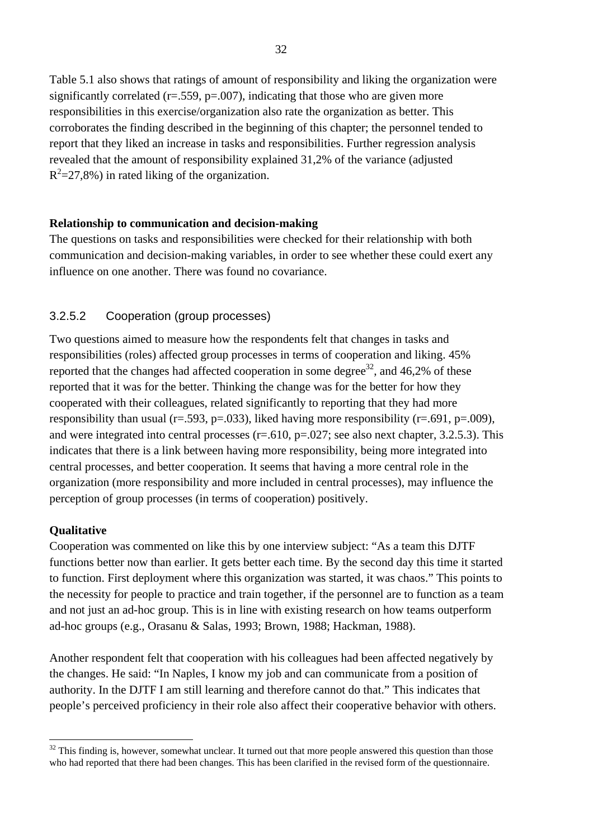Table 5.1 also shows that ratings of amount of responsibility and liking the organization were significantly correlated ( $r = .559$ ,  $p = .007$ ), indicating that those who are given more responsibilities in this exercise/organization also rate the organization as better. This corroborates the finding described in the beginning of this chapter; the personnel tended to report that they liked an increase in tasks and responsibilities. Further regression analysis revealed that the amount of responsibility explained 31,2% of the variance (adjusted  $R^2$ =27,8%) in rated liking of the organization.

#### **Relationship to communication and decision-making**

The questions on tasks and responsibilities were checked for their relationship with both communication and decision-making variables, in order to see whether these could exert any influence on one another. There was found no covariance.

#### 3.2.5.2 Cooperation (group processes)

Two questions aimed to measure how the respondents felt that changes in tasks and responsibilities (roles) affected group processes in terms of cooperation and liking. 45% reported that the changes had affected cooperation in some degree<sup>32</sup>, and  $46,2\%$  of these reported that it was for the better. Thinking the change was for the better for how they cooperated with their colleagues, related significantly to reporting that they had more responsibility than usual (r=.593, p=.033), liked having more responsibility (r=.691, p=.009), and were integrated into central processes ( $r = .610$ ,  $p = .027$ ; see also next chapter, 3.2.5.3). This indicates that there is a link between having more responsibility, being more integrated into central processes, and better cooperation. It seems that having a more central role in the organization (more responsibility and more included in central processes), may influence the perception of group processes (in terms of cooperation) positively.

#### **Qualitative**

 $\overline{a}$ 

Cooperation was commented on like this by one interview subject: "As a team this DJTF functions better now than earlier. It gets better each time. By the second day this time it started to function. First deployment where this organization was started, it was chaos." This points to the necessity for people to practice and train together, if the personnel are to function as a team and not just an ad-hoc group. This is in line with existing research on how teams outperform ad-hoc groups (e.g., Orasanu & Salas, 1993; Brown, 1988; Hackman, 1988).

Another respondent felt that cooperation with his colleagues had been affected negatively by the changes. He said: "In Naples, I know my job and can communicate from a position of authority. In the DJTF I am still learning and therefore cannot do that." This indicates that people's perceived proficiency in their role also affect their cooperative behavior with others.

<span id="page-33-0"></span> $32$  This finding is, however, somewhat unclear. It turned out that more people answered this question than those who had reported that there had been changes. This has been clarified in the revised form of the questionnaire.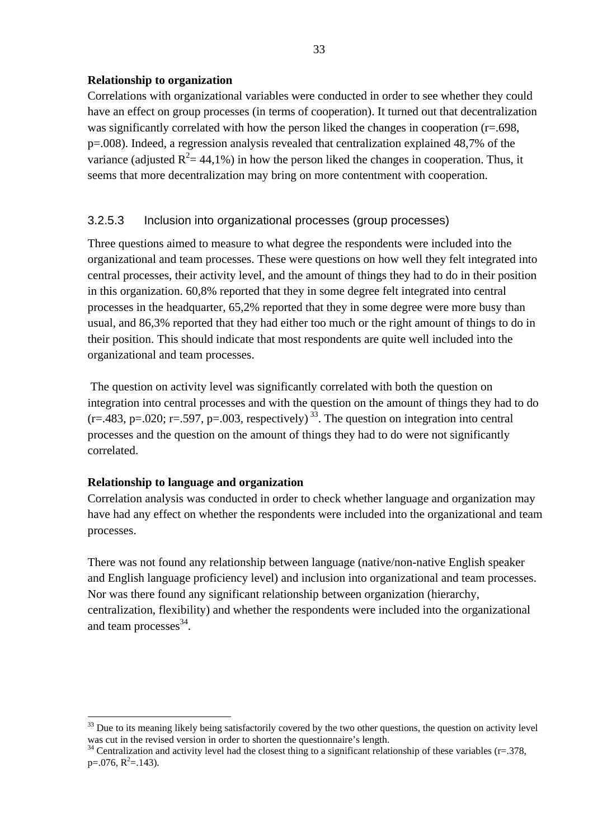### **Relationship to organization**

Correlations with organizational variables were conducted in order to see whether they could have an effect on group processes (in terms of cooperation). It turned out that decentralization was significantly correlated with how the person liked the changes in cooperation (r=.698, p=.008). Indeed, a regression analysis revealed that centralization explained 48,7% of the variance (adjusted  $R^2 = 44,1\%$ ) in how the person liked the changes in cooperation. Thus, it seems that more decentralization may bring on more contentment with cooperation.

# 3.2.5.3 Inclusion into organizational processes (group processes)

Three questions aimed to measure to what degree the respondents were included into the organizational and team processes. These were questions on how well they felt integrated into central processes, their activity level, and the amount of things they had to do in their position in this organization. 60,8% reported that they in some degree felt integrated into central processes in the headquarter, 65,2% reported that they in some degree were more busy than usual, and 86,3% reported that they had either too much or the right amount of things to do in their position. This should indicate that most respondents are quite well included into the organizational and team processes.

 The question on activity level was significantly correlated with both the question on integration into central processes and with the question on the amount of things they had to do  $(r=.483, p=.020; r=.597, p=.003, respectively)$ <sup>33</sup>. The question on integration into central processes and the question on the amount of things they had to do were not significantly correlated.

### **Relationship to language and organization**

Correlation analysis was conducted in order to check whether language and organization may have had any effect on whether the respondents were included into the organizational and team processes.

There was not found any relationship between language (native/non-native English speaker and English language proficiency level) and inclusion into organizational and team processes. Nor was there found any significant relationship between organization (hierarchy, centralization, flexibility) and whether the respondents were included into the organizational and team processes $^{34}$ .

<span id="page-34-0"></span> $\overline{a}$ <sup>33</sup> Due to its meaning likely being satisfactorily covered by the two other questions, the question on activity level was cut in the revised version in order to shorten the questionnaire's length.<br><sup>34</sup> Centralization and activity level had the closest thing to a significant relationship of these variables (r=.378,

<span id="page-34-1"></span> $p=0.076$ ,  $R^2=0.143$ .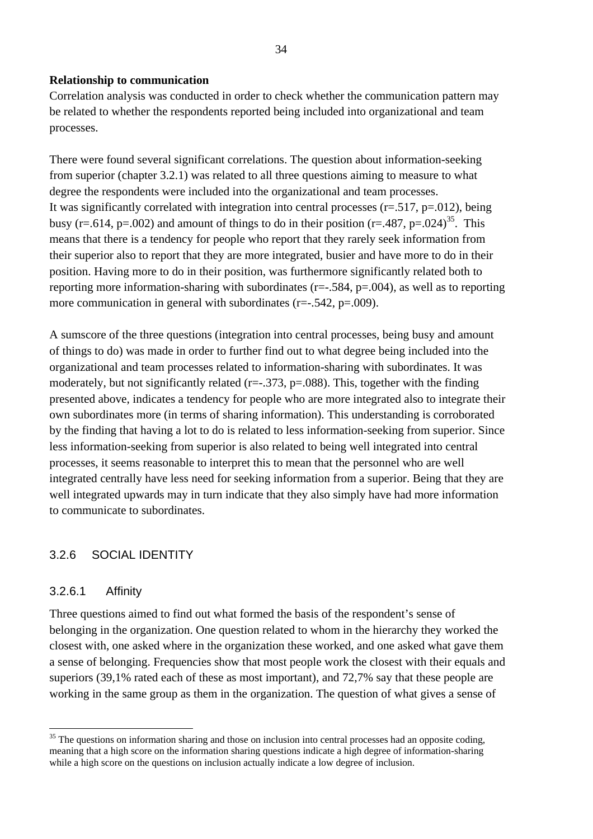#### <span id="page-35-0"></span>**Relationship to communication**

Correlation analysis was conducted in order to check whether the communication pattern may be related to whether the respondents reported being included into organizational and team processes.

There were found several significant correlations. The question about information-seeking from superior (chapter 3.2.1) was related to all three questions aiming to measure to what degree the respondents were included into the organizational and team processes. It was significantly correlated with integration into central processes ( $r = .517$ ,  $p = .012$ ), being busy (r=.614, p=.002) and amount of things to do in their position (r=.487, p=.024)<sup>35</sup>. This means that there is a tendency for people who report that they rarely seek information from their superior also to report that they are more integrated, busier and have more to do in their position. Having more to do in their position, was furthermore significantly related both to reporting more information-sharing with subordinates (r=-.584, p=.004), as well as to reporting more communication in general with subordinates  $(r=-.542, p=.009)$ .

A sumscore of the three questions (integration into central processes, being busy and amount of things to do) was made in order to further find out to what degree being included into the organizational and team processes related to information-sharing with subordinates. It was moderately, but not significantly related  $(r=-.373, p=.088)$ . This, together with the finding presented above, indicates a tendency for people who are more integrated also to integrate their own subordinates more (in terms of sharing information). This understanding is corroborated by the finding that having a lot to do is related to less information-seeking from superior. Since less information-seeking from superior is also related to being well integrated into central processes, it seems reasonable to interpret this to mean that the personnel who are well integrated centrally have less need for seeking information from a superior. Being that they are well integrated upwards may in turn indicate that they also simply have had more information to communicate to subordinates.

### 3.2.6 SOCIAL IDENTITY

#### 3.2.6.1 Affinity

 $\overline{a}$ 

Three questions aimed to find out what formed the basis of the respondent's sense of belonging in the organization. One question related to whom in the hierarchy they worked the closest with, one asked where in the organization these worked, and one asked what gave them a sense of belonging. Frequencies show that most people work the closest with their equals and superiors (39,1% rated each of these as most important), and 72,7% say that these people are working in the same group as them in the organization. The question of what gives a sense of

<span id="page-35-1"></span><sup>&</sup>lt;sup>35</sup> The questions on information sharing and those on inclusion into central processes had an opposite coding, meaning that a high score on the information sharing questions indicate a high degree of information-sharing while a high score on the questions on inclusion actually indicate a low degree of inclusion.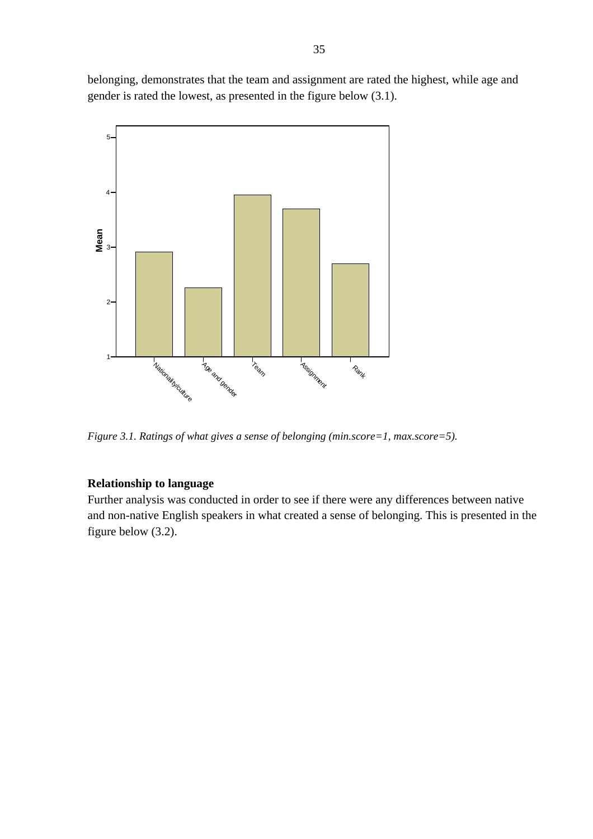belonging, demonstrates that the team and assignment are rated the highest, while age and gender is rated the lowest, as presented in the figure below (3.1).



*Figure 3.1. Ratings of what gives a sense of belonging (min.score=1, max.score=5).* 

#### **Relationship to language**

Further analysis was conducted in order to see if there were any differences between native and non-native English speakers in what created a sense of belonging. This is presented in the figure below (3.2).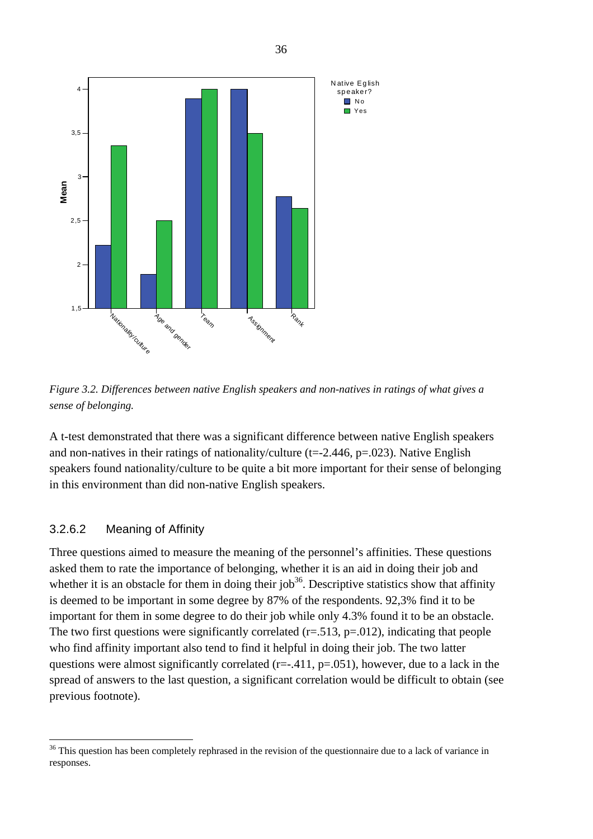

*Figure 3.2. Differences between native English speakers and non-natives in ratings of what gives a sense of belonging.* 

A t-test demonstrated that there was a significant difference between native English speakers and non-natives in their ratings of nationality/culture ( $t = -2.446$ ,  $p = .023$ ). Native English speakers found nationality/culture to be quite a bit more important for their sense of belonging in this environment than did non-native English speakers.

#### 3.2.6.2 Meaning of Affinity

 $\overline{a}$ 

Three questions aimed to measure the meaning of the personnel's affinities. These questions asked them to rate the importance of belonging, whether it is an aid in doing their job and whether it is an obstacle for them in doing their job<sup>36</sup>. Descriptive statistics show that affinity is deemed to be important in some degree by 87% of the respondents. 92,3% find it to be important for them in some degree to do their job while only 4.3% found it to be an obstacle. The two first questions were significantly correlated  $(r=.513, p=.012)$ , indicating that people who find affinity important also tend to find it helpful in doing their job. The two latter questions were almost significantly correlated ( $r=-.411$ ,  $p=.051$ ), however, due to a lack in the spread of answers to the last question, a significant correlation would be difficult to obtain (see previous footnote).

<span id="page-37-0"></span><sup>&</sup>lt;sup>36</sup> This question has been completely rephrased in the revision of the questionnaire due to a lack of variance in responses.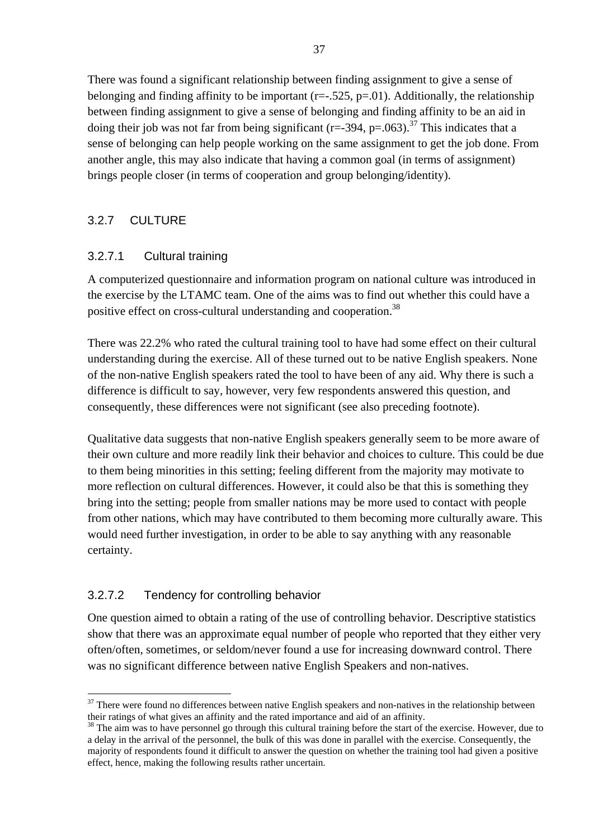<span id="page-38-0"></span>There was found a significant relationship between finding assignment to give a sense of belonging and finding affinity to be important ( $r=-.525$ ,  $p=.01$ ). Additionally, the relationship between finding assignment to give a sense of belonging and finding affinity to be an aid in doing their job was not far from being significant (r=-394, p=.063).<sup>37</sup> This indicates that a sense of belonging can help people working on the same assignment to get the job done. From another angle, this may also indicate that having a common goal (in terms of assignment) brings people closer (in terms of cooperation and group belonging/identity).

# 3.2.7 CULTURE

### 3.2.7.1 Cultural training

A computerized questionnaire and information program on national culture was introduced in the exercise by the LTAMC team. One of the aims was to find out whether this could have a positive effect on cross-cultural understanding and cooperation.<sup>38</sup>

There was 22.2% who rated the cultural training tool to have had some effect on their cultural understanding during the exercise. All of these turned out to be native English speakers. None of the non-native English speakers rated the tool to have been of any aid. Why there is such a difference is difficult to say, however, very few respondents answered this question, and consequently, these differences were not significant (see also preceding footnote).

Qualitative data suggests that non-native English speakers generally seem to be more aware of their own culture and more readily link their behavior and choices to culture. This could be due to them being minorities in this setting; feeling different from the majority may motivate to more reflection on cultural differences. However, it could also be that this is something they bring into the setting; people from smaller nations may be more used to contact with people from other nations, which may have contributed to them becoming more culturally aware. This would need further investigation, in order to be able to say anything with any reasonable certainty.

# 3.2.7.2 Tendency for controlling behavior

 $\overline{a}$ 

One question aimed to obtain a rating of the use of controlling behavior. Descriptive statistics show that there was an approximate equal number of people who reported that they either very often/often, sometimes, or seldom/never found a use for increasing downward control. There was no significant difference between native English Speakers and non-natives.

<span id="page-38-1"></span> $37$  There were found no differences between native English speakers and non-natives in the relationship between their ratings of what gives an affinity and the rated importance and aid of an affinity.<br><sup>38</sup> The aim was to have personnel go through this cultural training before the start of the exercise. However, due to

<span id="page-38-2"></span>a delay in the arrival of the personnel, the bulk of this was done in parallel with the exercise. Consequently, the majority of respondents found it difficult to answer the question on whether the training tool had given a positive effect, hence, making the following results rather uncertain.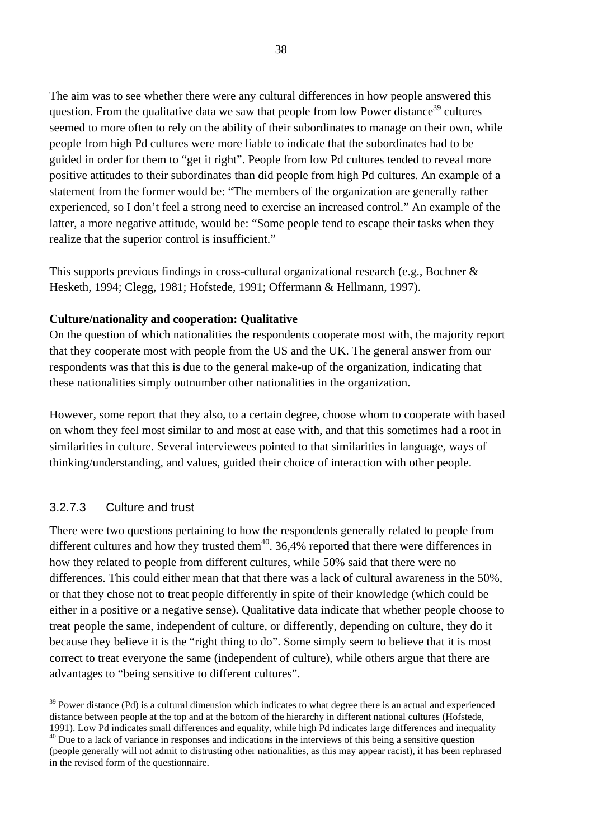The aim was to see whether there were any cultural differences in how people answered this question. From the qualitative data we saw that people from low Power distance<sup>39</sup> cultures seemed to more often to rely on the ability of their subordinates to manage on their own, while people from high Pd cultures were more liable to indicate that the subordinates had to be guided in order for them to "get it right". People from low Pd cultures tended to reveal more positive attitudes to their subordinates than did people from high Pd cultures. An example of a statement from the former would be: "The members of the organization are generally rather experienced, so I don't feel a strong need to exercise an increased control." An example of the latter, a more negative attitude, would be: "Some people tend to escape their tasks when they realize that the superior control is insufficient."

This supports previous findings in cross-cultural organizational research (e.g., Bochner & Hesketh, 1994; Clegg, 1981; Hofstede, 1991; Offermann & Hellmann, 1997).

#### **Culture/nationality and cooperation: Qualitative**

On the question of which nationalities the respondents cooperate most with, the majority report that they cooperate most with people from the US and the UK. The general answer from our respondents was that this is due to the general make-up of the organization, indicating that these nationalities simply outnumber other nationalities in the organization.

However, some report that they also, to a certain degree, choose whom to cooperate with based on whom they feel most similar to and most at ease with, and that this sometimes had a root in similarities in culture. Several interviewees pointed to that similarities in language, ways of thinking/understanding, and values, guided their choice of interaction with other people.

### 3.2.7.3 Culture and trust

 $\overline{a}$ 

There were two questions pertaining to how the respondents generally related to people from different cultures and how they trusted them<sup>40</sup>. 36,4% reported that there were differences in how they related to people from different cultures, while 50% said that there were no differences. This could either mean that that there was a lack of cultural awareness in the 50%, or that they chose not to treat people differently in spite of their knowledge (which could be either in a positive or a negative sense). Qualitative data indicate that whether people choose to treat people the same, independent of culture, or differently, depending on culture, they do it because they believe it is the "right thing to do". Some simply seem to believe that it is most correct to treat everyone the same (independent of culture), while others argue that there are advantages to "being sensitive to different cultures".

<span id="page-39-0"></span><sup>&</sup>lt;sup>39</sup> Power distance (Pd) is a cultural dimension which indicates to what degree there is an actual and experienced distance between people at the top and at the bottom of the hierarchy in different national cultures (Hofstede, 1991). Low Pd indicates small differences and equality, while high Pd indicates large differences and inequali

<span id="page-39-1"></span> $40$  Due to a lack of variance in responses and indications in the interviews of this being a sensitive question (people generally will not admit to distrusting other nationalities, as this may appear racist), it has been rephrased in the revised form of the questionnaire.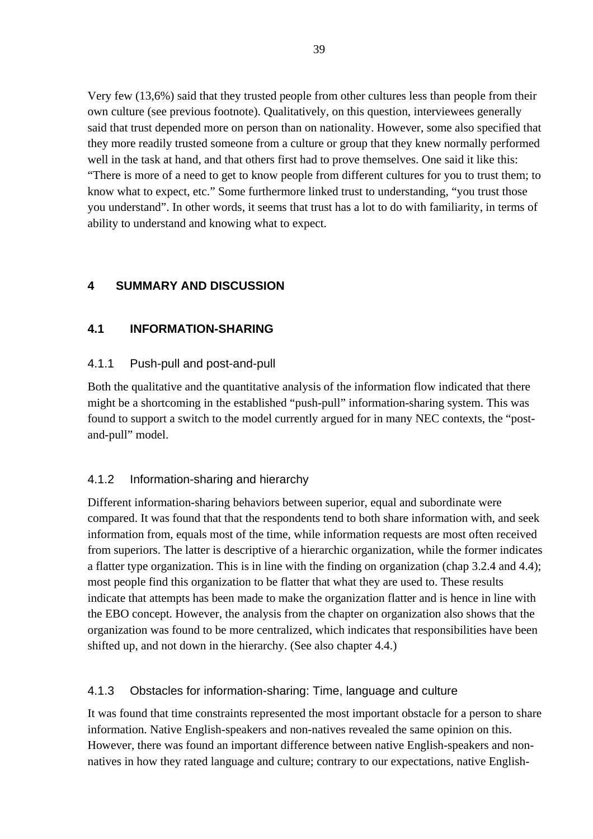<span id="page-40-0"></span>Very few (13,6%) said that they trusted people from other cultures less than people from their own culture (see previous footnote). Qualitatively, on this question, interviewees generally said that trust depended more on person than on nationality. However, some also specified that they more readily trusted someone from a culture or group that they knew normally performed well in the task at hand, and that others first had to prove themselves. One said it like this: "There is more of a need to get to know people from different cultures for you to trust them; to know what to expect, etc." Some furthermore linked trust to understanding, "you trust those you understand". In other words, it seems that trust has a lot to do with familiarity, in terms of ability to understand and knowing what to expect.

# **4 SUMMARY AND DISCUSSION**

# **4.1 INFORMATION-SHARING**

### 4.1.1 Push-pull and post-and-pull

Both the qualitative and the quantitative analysis of the information flow indicated that there might be a shortcoming in the established "push-pull" information-sharing system. This was found to support a switch to the model currently argued for in many NEC contexts, the "postand-pull" model.

### 4.1.2 Information-sharing and hierarchy

Different information-sharing behaviors between superior, equal and subordinate were compared. It was found that that the respondents tend to both share information with, and seek information from, equals most of the time, while information requests are most often received from superiors. The latter is descriptive of a hierarchic organization, while the former indicates a flatter type organization. This is in line with the finding on organization (chap 3.2.4 and 4.4); most people find this organization to be flatter that what they are used to. These results indicate that attempts has been made to make the organization flatter and is hence in line with the EBO concept. However, the analysis from the chapter on organization also shows that the organization was found to be more centralized, which indicates that responsibilities have been shifted up, and not down in the hierarchy. (See also chapter 4.4.)

### 4.1.3 Obstacles for information-sharing: Time, language and culture

It was found that time constraints represented the most important obstacle for a person to share information. Native English-speakers and non-natives revealed the same opinion on this. However, there was found an important difference between native English-speakers and nonnatives in how they rated language and culture; contrary to our expectations, native English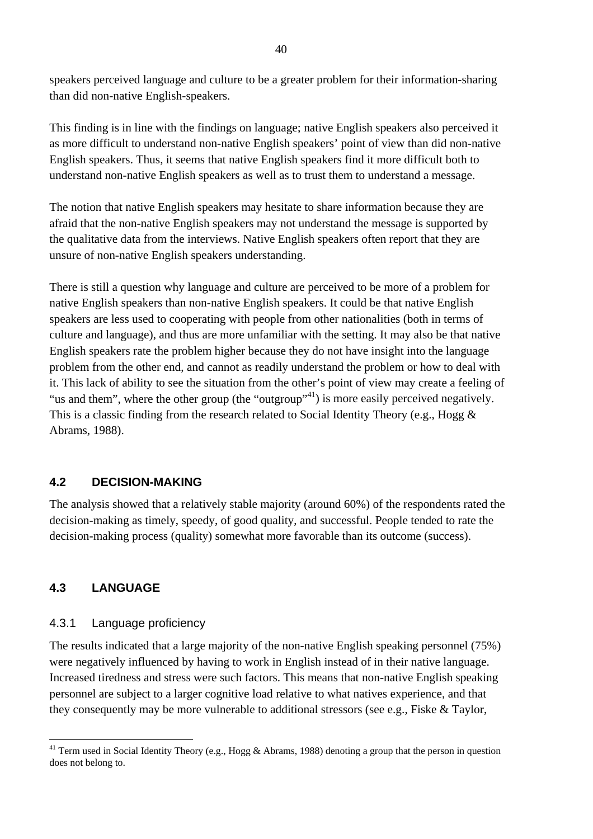<span id="page-41-0"></span>speakers perceived language and culture to be a greater problem for their information-sharing than did non-native English-speakers.

This finding is in line with the findings on language; native English speakers also perceived it as more difficult to understand non-native English speakers' point of view than did non-native English speakers. Thus, it seems that native English speakers find it more difficult both to understand non-native English speakers as well as to trust them to understand a message.

The notion that native English speakers may hesitate to share information because they are afraid that the non-native English speakers may not understand the message is supported by the qualitative data from the interviews. Native English speakers often report that they are unsure of non-native English speakers understanding.

There is still a question why language and culture are perceived to be more of a problem for native English speakers than non-native English speakers. It could be that native English speakers are less used to cooperating with people from other nationalities (both in terms of culture and language), and thus are more unfamiliar with the setting. It may also be that native English speakers rate the problem higher because they do not have insight into the language problem from the other end, and cannot as readily understand the problem or how to deal with it. This lack of ability to see the situation from the other's point of view may create a feeling of "us and them", where the other group (the "outgroup"<sup>41</sup>) is more easily perceived negatively. This is a classic finding from the research related to Social Identity Theory (e.g., Hogg & Abrams, 1988).

### **4.2 DECISION-MAKING**

The analysis showed that a relatively stable majority (around 60%) of the respondents rated the decision-making as timely, speedy, of good quality, and successful. People tended to rate the decision-making process (quality) somewhat more favorable than its outcome (success).

#### **4.3 LANGUAGE**

 $\overline{a}$ 

#### 4.3.1 Language proficiency

The results indicated that a large majority of the non-native English speaking personnel (75%) were negatively influenced by having to work in English instead of in their native language. Increased tiredness and stress were such factors. This means that non-native English speaking personnel are subject to a larger cognitive load relative to what natives experience, and that they consequently may be more vulnerable to additional stressors (see e.g., Fiske & Taylor,

<span id="page-41-1"></span><sup>&</sup>lt;sup>41</sup> Term used in Social Identity Theory (e.g., Hogg & Abrams, 1988) denoting a group that the person in question does not belong to.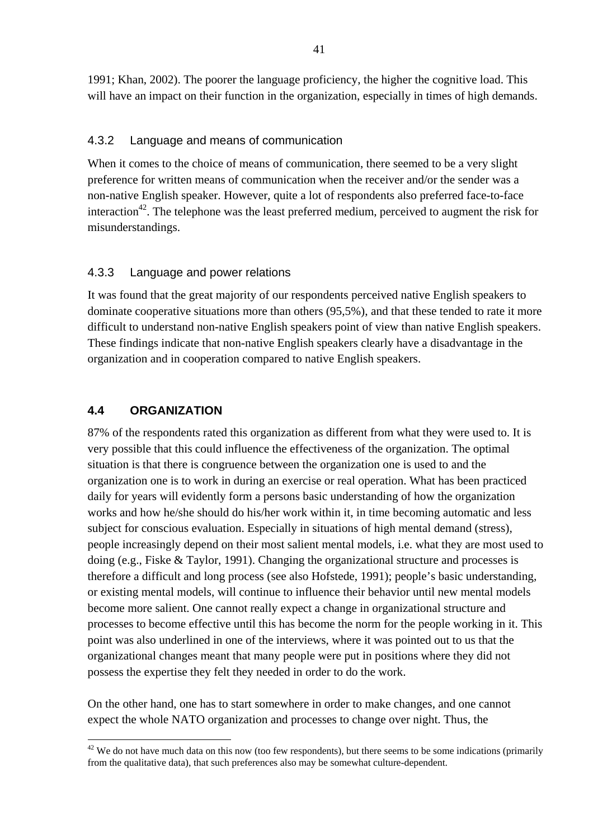<span id="page-42-0"></span>1991; Khan, 2002). The poorer the language proficiency, the higher the cognitive load. This will have an impact on their function in the organization, especially in times of high demands.

### 4.3.2 Language and means of communication

When it comes to the choice of means of communication, there seemed to be a very slight preference for written means of communication when the receiver and/or the sender was a non-native English speaker. However, quite a lot of respondents also preferred face-to-face interaction<sup>42</sup>. The telephone was the least preferred medium, perceived to augment the risk for misunderstandings.

# 4.3.3 Language and power relations

It was found that the great majority of our respondents perceived native English speakers to dominate cooperative situations more than others (95,5%), and that these tended to rate it more difficult to understand non-native English speakers point of view than native English speakers. These findings indicate that non-native English speakers clearly have a disadvantage in the organization and in cooperation compared to native English speakers.

# **4.4 ORGANIZATION**

 $\overline{a}$ 

87% of the respondents rated this organization as different from what they were used to. It is very possible that this could influence the effectiveness of the organization. The optimal situation is that there is congruence between the organization one is used to and the organization one is to work in during an exercise or real operation. What has been practiced daily for years will evidently form a persons basic understanding of how the organization works and how he/she should do his/her work within it, in time becoming automatic and less subject for conscious evaluation. Especially in situations of high mental demand (stress), people increasingly depend on their most salient mental models, i.e. what they are most used to doing (e.g., Fiske & Taylor, 1991). Changing the organizational structure and processes is therefore a difficult and long process (see also Hofstede, 1991); people's basic understanding, or existing mental models, will continue to influence their behavior until new mental models become more salient. One cannot really expect a change in organizational structure and processes to become effective until this has become the norm for the people working in it. This point was also underlined in one of the interviews, where it was pointed out to us that the organizational changes meant that many people were put in positions where they did not possess the expertise they felt they needed in order to do the work.

On the other hand, one has to start somewhere in order to make changes, and one cannot expect the whole NATO organization and processes to change over night. Thus, the

<span id="page-42-1"></span> $42$  We do not have much data on this now (too few respondents), but there seems to be some indications (primarily from the qualitative data), that such preferences also may be somewhat culture-dependent.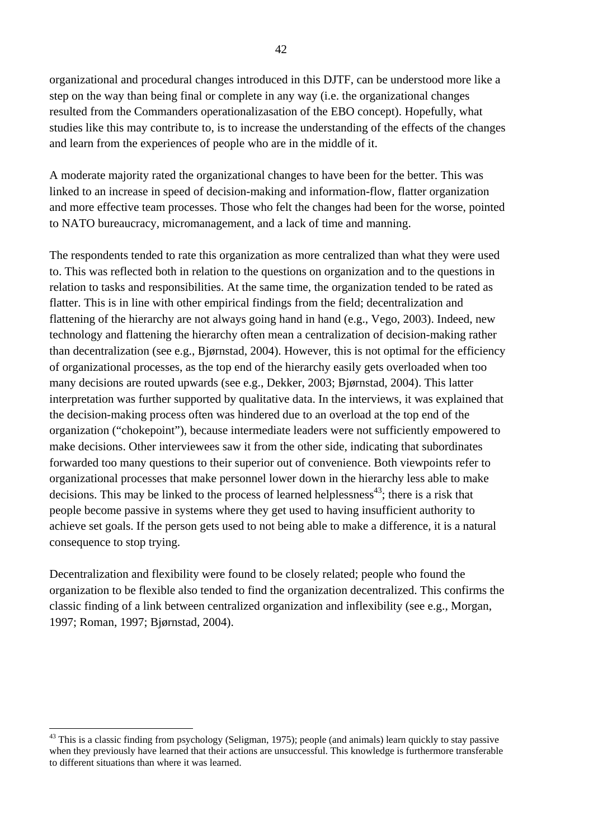organizational and procedural changes introduced in this DJTF, can be understood more like a step on the way than being final or complete in any way (i.e. the organizational changes resulted from the Commanders operationalizasation of the EBO concept). Hopefully, what studies like this may contribute to, is to increase the understanding of the effects of the changes and learn from the experiences of people who are in the middle of it.

A moderate majority rated the organizational changes to have been for the better. This was linked to an increase in speed of decision-making and information-flow, flatter organization and more effective team processes. Those who felt the changes had been for the worse, pointed to NATO bureaucracy, micromanagement, and a lack of time and manning.

The respondents tended to rate this organization as more centralized than what they were used to. This was reflected both in relation to the questions on organization and to the questions in relation to tasks and responsibilities. At the same time, the organization tended to be rated as flatter. This is in line with other empirical findings from the field; decentralization and flattening of the hierarchy are not always going hand in hand (e.g., Vego, 2003). Indeed, new technology and flattening the hierarchy often mean a centralization of decision-making rather than decentralization (see e.g., Bjørnstad, 2004). However, this is not optimal for the efficiency of organizational processes, as the top end of the hierarchy easily gets overloaded when too many decisions are routed upwards (see e.g., Dekker, 2003; Bjørnstad, 2004). This latter interpretation was further supported by qualitative data. In the interviews, it was explained that the decision-making process often was hindered due to an overload at the top end of the organization ("chokepoint"), because intermediate leaders were not sufficiently empowered to make decisions. Other interviewees saw it from the other side, indicating that subordinates forwarded too many questions to their superior out of convenience. Both viewpoints refer to organizational processes that make personnel lower down in the hierarchy less able to make decisions. This may be linked to the process of learned helplessness<sup>43</sup>; there is a risk that people become passive in systems where they get used to having insufficient authority to achieve set goals. If the person gets used to not being able to make a difference, it is a natural consequence to stop trying.

Decentralization and flexibility were found to be closely related; people who found the organization to be flexible also tended to find the organization decentralized. This confirms the classic finding of a link between centralized organization and inflexibility (see e.g., Morgan, 1997; Roman, 1997; Bjørnstad, 2004).

 $\overline{a}$ 

<span id="page-43-0"></span><sup>&</sup>lt;sup>43</sup> This is a classic finding from psychology (Seligman, 1975); people (and animals) learn quickly to stay passive when they previously have learned that their actions are unsuccessful. This knowledge is furthermore transferable to different situations than where it was learned.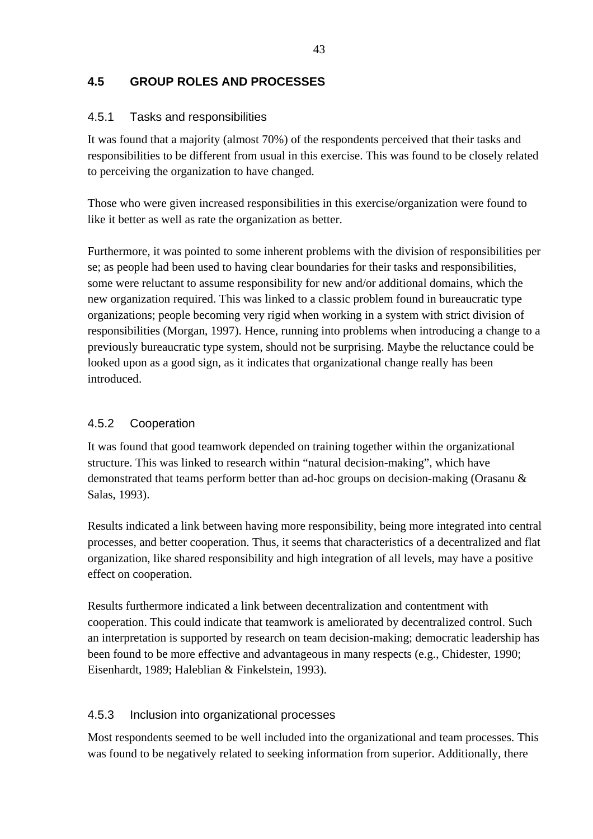# <span id="page-44-0"></span>**4.5 GROUP ROLES AND PROCESSES**

# 4.5.1 Tasks and responsibilities

It was found that a majority (almost 70%) of the respondents perceived that their tasks and responsibilities to be different from usual in this exercise. This was found to be closely related to perceiving the organization to have changed.

Those who were given increased responsibilities in this exercise/organization were found to like it better as well as rate the organization as better.

Furthermore, it was pointed to some inherent problems with the division of responsibilities per se; as people had been used to having clear boundaries for their tasks and responsibilities, some were reluctant to assume responsibility for new and/or additional domains, which the new organization required. This was linked to a classic problem found in bureaucratic type organizations; people becoming very rigid when working in a system with strict division of responsibilities (Morgan, 1997). Hence, running into problems when introducing a change to a previously bureaucratic type system, should not be surprising. Maybe the reluctance could be looked upon as a good sign, as it indicates that organizational change really has been introduced.

# 4.5.2 Cooperation

It was found that good teamwork depended on training together within the organizational structure. This was linked to research within "natural decision-making", which have demonstrated that teams perform better than ad-hoc groups on decision-making (Orasanu & Salas, 1993).

Results indicated a link between having more responsibility, being more integrated into central processes, and better cooperation. Thus, it seems that characteristics of a decentralized and flat organization, like shared responsibility and high integration of all levels, may have a positive effect on cooperation.

Results furthermore indicated a link between decentralization and contentment with cooperation. This could indicate that teamwork is ameliorated by decentralized control. Such an interpretation is supported by research on team decision-making; democratic leadership has been found to be more effective and advantageous in many respects (e.g., Chidester, 1990; Eisenhardt, 1989; Haleblian & Finkelstein, 1993).

# 4.5.3 Inclusion into organizational processes

Most respondents seemed to be well included into the organizational and team processes. This was found to be negatively related to seeking information from superior. Additionally, there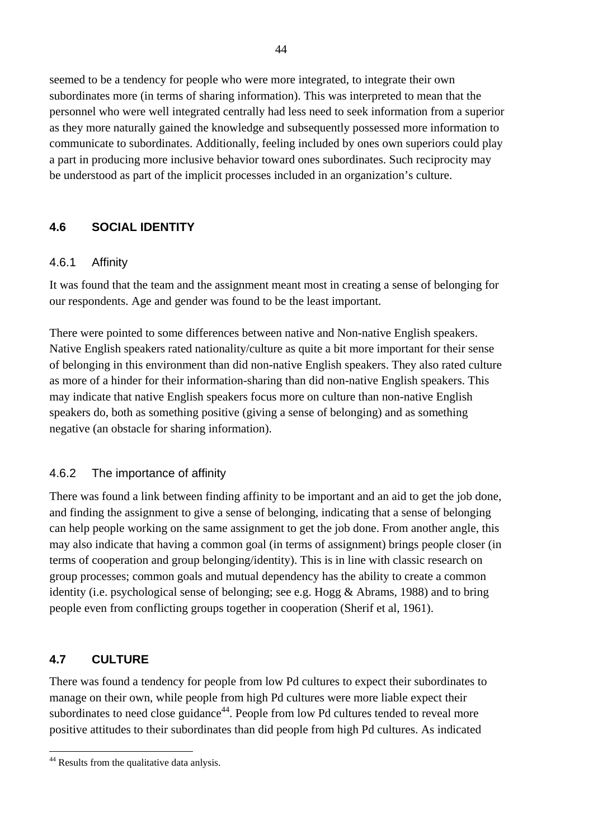<span id="page-45-0"></span>seemed to be a tendency for people who were more integrated, to integrate their own subordinates more (in terms of sharing information). This was interpreted to mean that the personnel who were well integrated centrally had less need to seek information from a superior as they more naturally gained the knowledge and subsequently possessed more information to communicate to subordinates. Additionally, feeling included by ones own superiors could play a part in producing more inclusive behavior toward ones subordinates. Such reciprocity may be understood as part of the implicit processes included in an organization's culture.

# **4.6 SOCIAL IDENTITY**

#### 4.6.1 Affinity

It was found that the team and the assignment meant most in creating a sense of belonging for our respondents. Age and gender was found to be the least important.

There were pointed to some differences between native and Non-native English speakers. Native English speakers rated nationality/culture as quite a bit more important for their sense of belonging in this environment than did non-native English speakers. They also rated culture as more of a hinder for their information-sharing than did non-native English speakers. This may indicate that native English speakers focus more on culture than non-native English speakers do, both as something positive (giving a sense of belonging) and as something negative (an obstacle for sharing information).

### 4.6.2 The importance of affinity

There was found a link between finding affinity to be important and an aid to get the job done, and finding the assignment to give a sense of belonging, indicating that a sense of belonging can help people working on the same assignment to get the job done. From another angle, this may also indicate that having a common goal (in terms of assignment) brings people closer (in terms of cooperation and group belonging/identity). This is in line with classic research on group processes; common goals and mutual dependency has the ability to create a common identity (i.e. psychological sense of belonging; see e.g. Hogg & Abrams, 1988) and to bring people even from conflicting groups together in cooperation (Sherif et al, 1961).

### **4.7 CULTURE**

 $\overline{a}$ 

There was found a tendency for people from low Pd cultures to expect their subordinates to manage on their own, while people from high Pd cultures were more liable expect their subordinates to need close guidance<sup>44</sup>. People from low Pd cultures tended to reveal more positive attitudes to their subordinates than did people from high Pd cultures. As indicated

<span id="page-45-1"></span><sup>&</sup>lt;sup>44</sup> Results from the qualitative data anlysis.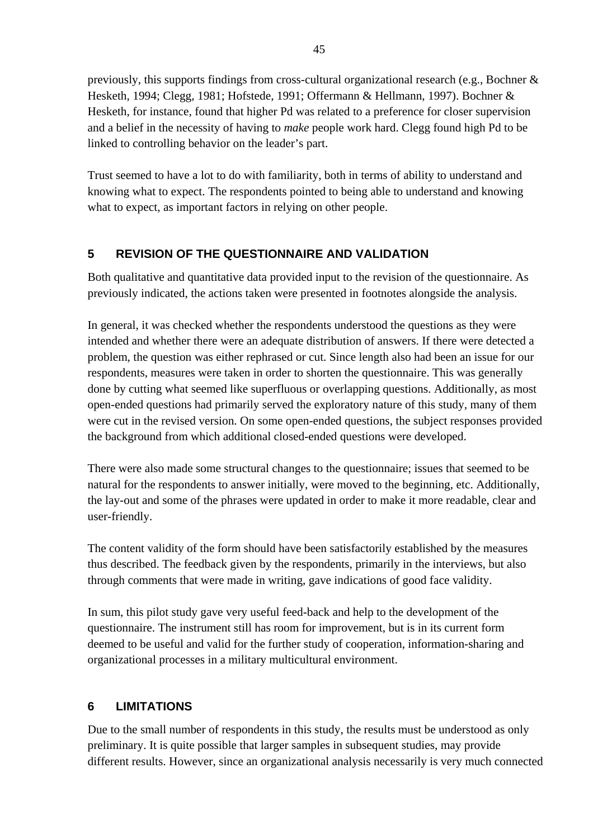<span id="page-46-0"></span>previously, this supports findings from cross-cultural organizational research (e.g., Bochner & Hesketh, 1994; Clegg, 1981; Hofstede, 1991; Offermann & Hellmann, 1997). Bochner & Hesketh, for instance, found that higher Pd was related to a preference for closer supervision and a belief in the necessity of having to *make* people work hard. Clegg found high Pd to be linked to controlling behavior on the leader's part.

Trust seemed to have a lot to do with familiarity, both in terms of ability to understand and knowing what to expect. The respondents pointed to being able to understand and knowing what to expect, as important factors in relying on other people.

# **5 REVISION OF THE QUESTIONNAIRE AND VALIDATION**

Both qualitative and quantitative data provided input to the revision of the questionnaire. As previously indicated, the actions taken were presented in footnotes alongside the analysis.

In general, it was checked whether the respondents understood the questions as they were intended and whether there were an adequate distribution of answers. If there were detected a problem, the question was either rephrased or cut. Since length also had been an issue for our respondents, measures were taken in order to shorten the questionnaire. This was generally done by cutting what seemed like superfluous or overlapping questions. Additionally, as most open-ended questions had primarily served the exploratory nature of this study, many of them were cut in the revised version. On some open-ended questions, the subject responses provided the background from which additional closed-ended questions were developed.

There were also made some structural changes to the questionnaire; issues that seemed to be natural for the respondents to answer initially, were moved to the beginning, etc. Additionally, the lay-out and some of the phrases were updated in order to make it more readable, clear and user-friendly.

The content validity of the form should have been satisfactorily established by the measures thus described. The feedback given by the respondents, primarily in the interviews, but also through comments that were made in writing, gave indications of good face validity.

In sum, this pilot study gave very useful feed-back and help to the development of the questionnaire. The instrument still has room for improvement, but is in its current form deemed to be useful and valid for the further study of cooperation, information-sharing and organizational processes in a military multicultural environment.

# **6 LIMITATIONS**

Due to the small number of respondents in this study, the results must be understood as only preliminary. It is quite possible that larger samples in subsequent studies, may provide different results. However, since an organizational analysis necessarily is very much connected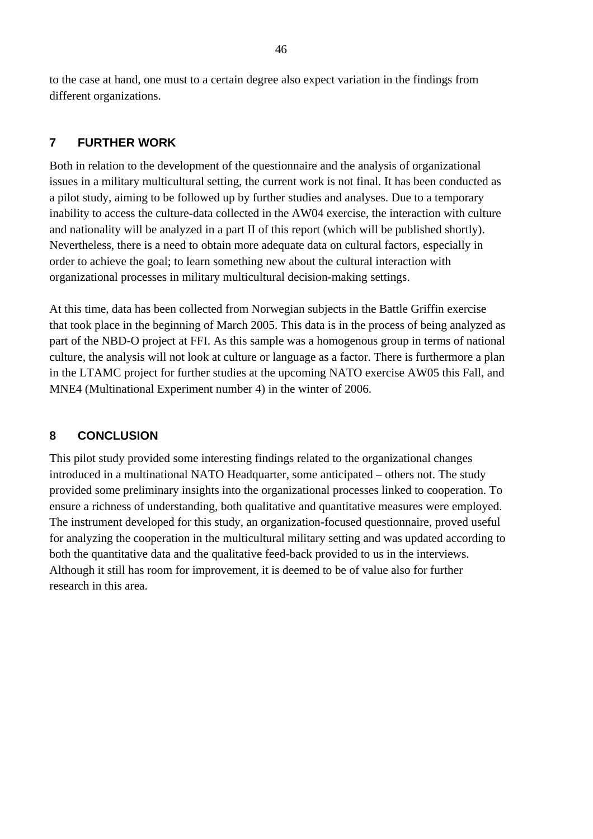<span id="page-47-0"></span>to the case at hand, one must to a certain degree also expect variation in the findings from different organizations.

# **7 FURTHER WORK**

Both in relation to the development of the questionnaire and the analysis of organizational issues in a military multicultural setting, the current work is not final. It has been conducted as a pilot study, aiming to be followed up by further studies and analyses. Due to a temporary inability to access the culture-data collected in the AW04 exercise, the interaction with culture and nationality will be analyzed in a part II of this report (which will be published shortly). Nevertheless, there is a need to obtain more adequate data on cultural factors, especially in order to achieve the goal; to learn something new about the cultural interaction with organizational processes in military multicultural decision-making settings.

At this time, data has been collected from Norwegian subjects in the Battle Griffin exercise that took place in the beginning of March 2005. This data is in the process of being analyzed as part of the NBD-O project at FFI. As this sample was a homogenous group in terms of national culture, the analysis will not look at culture or language as a factor. There is furthermore a plan in the LTAMC project for further studies at the upcoming NATO exercise AW05 this Fall, and MNE4 (Multinational Experiment number 4) in the winter of 2006.

# **8 CONCLUSION**

This pilot study provided some interesting findings related to the organizational changes introduced in a multinational NATO Headquarter, some anticipated – others not. The study provided some preliminary insights into the organizational processes linked to cooperation. To ensure a richness of understanding, both qualitative and quantitative measures were employed. The instrument developed for this study, an organization-focused questionnaire, proved useful for analyzing the cooperation in the multicultural military setting and was updated according to both the quantitative data and the qualitative feed-back provided to us in the interviews. Although it still has room for improvement, it is deemed to be of value also for further research in this area.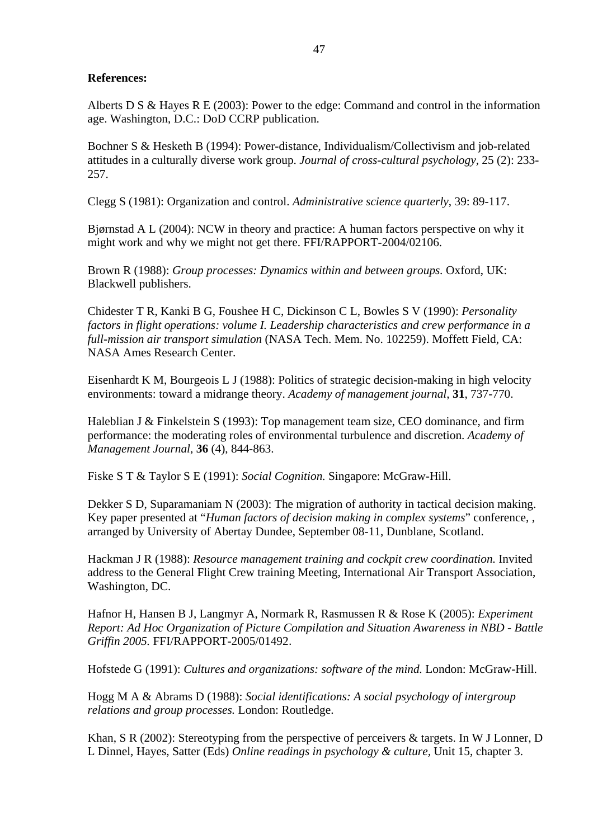### <span id="page-48-0"></span>**References:**

Alberts D S & Hayes R E (2003): Power to the edge: Command and control in the information age. Washington, D.C.: DoD CCRP publication.

Bochner S & Hesketh B (1994): Power-distance, Individualism/Collectivism and job-related attitudes in a culturally diverse work group. *Journal of cross-cultural psychology,* 25 (2): 233- 257.

Clegg S (1981): Organization and control. *Administrative science quarterly*, 39: 89-117.

Bjørnstad A L (2004): NCW in theory and practice: A human factors perspective on why it might work and why we might not get there. FFI/RAPPORT-2004/02106.

Brown R (1988): *Group processes: Dynamics within and between groups.* Oxford, UK: Blackwell publishers.

Chidester T R, Kanki B G, Foushee H C, Dickinson C L, Bowles S V (1990): *Personality factors in flight operations: volume I. Leadership characteristics and crew performance in a full-mission air transport simulation* (NASA Tech. Mem. No. 102259). Moffett Field, CA: NASA Ames Research Center.

Eisenhardt K M, Bourgeois L J (1988): Politics of strategic decision-making in high velocity environments: toward a midrange theory. *Academy of management journal*, **31**, 737-770.

Haleblian J & Finkelstein S (1993): Top management team size, CEO dominance, and firm performance: the moderating roles of environmental turbulence and discretion. *Academy of Management Journal*, **36** (4), 844-863.

Fiske S T & Taylor S E (1991): *Social Cognition.* Singapore: McGraw-Hill.

Dekker S D, Suparamaniam N (2003): The migration of authority in tactical decision making. Key paper presented at "*Human factors of decision making in complex systems*" conference, , arranged by University of Abertay Dundee, September 08-11, Dunblane, Scotland.

Hackman J R (1988): *Resource management training and cockpit crew coordination.* Invited address to the General Flight Crew training Meeting, International Air Transport Association, Washington, DC.

Hafnor H, Hansen B J, Langmyr A, Normark R, Rasmussen R & Rose K (2005): *Experiment Report: Ad Hoc Organization of Picture Compilation and Situation Awareness in NBD - Battle Griffin 2005.* FFI/RAPPORT-2005/01492.

Hofstede G (1991): *Cultures and organizations: software of the mind.* London: McGraw-Hill.

Hogg M A & Abrams D (1988): *Social identifications: A social psychology of intergroup relations and group processes.* London: Routledge.

Khan, S R (2002): Stereotyping from the perspective of perceivers & targets. In W J Lonner, D L Dinnel, Hayes, Satter (Eds) *Online readings in psychology & culture,* Unit 15, chapter 3.